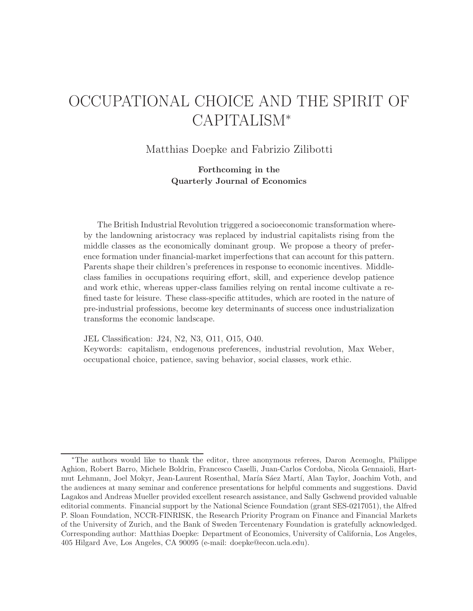# OCCUPATIONAL CHOICE AND THE SPIRIT OF CAPITALISM<sup>∗</sup>

Matthias Doepke and Fabrizio Zilibotti

**Forthcoming in the Quarterly Journal of Economics**

The British Industrial Revolution triggered a socioeconomic transformation whereby the landowning aristocracy was replaced by industrial capitalists rising from the middle classes as the economically dominant group. We propose a theory of preference formation under financial-market imperfections that can account for this pattern. Parents shape their children's preferences in response to economic incentives. Middleclass families in occupations requiring effort, skill, and experience develop patience and work ethic, whereas upper-class families relying on rental income cultivate a refined taste for leisure. These class-specific attitudes, which are rooted in the nature of pre-industrial professions, become key determinants of success once industrialization transforms the economic landscape.

JEL Classification: J24, N2, N3, O11, O15, O40.

Keywords: capitalism, endogenous preferences, industrial revolution, Max Weber, occupational choice, patience, saving behavior, social classes, work ethic.

<sup>∗</sup>The authors would like to thank the editor, three anonymous referees, Daron Acemoglu, Philippe Aghion, Robert Barro, Michele Boldrin, Francesco Caselli, Juan-Carlos Cordoba, Nicola Gennaioli, Hartmut Lehmann, Joel Mokyr, Jean-Laurent Rosenthal, María Sáez Martí, Alan Taylor, Joachim Voth, and the audiences at many seminar and conference presentations for helpful comments and suggestions. David Lagakos and Andreas Mueller provided excellent research assistance, and Sally Gschwend provided valuable editorial comments. Financial support by the National Science Foundation (grant SES-0217051), the Alfred P. Sloan Foundation, NCCR-FINRISK, the Research Priority Program on Finance and Financial Markets of the University of Zurich, and the Bank of Sweden Tercentenary Foundation is gratefully acknowledged. Corresponding author: Matthias Doepke: Department of Economics, University of California, Los Angeles, 405 Hilgard Ave, Los Angeles, CA 90095 (e-mail: doepke@econ.ucla.edu).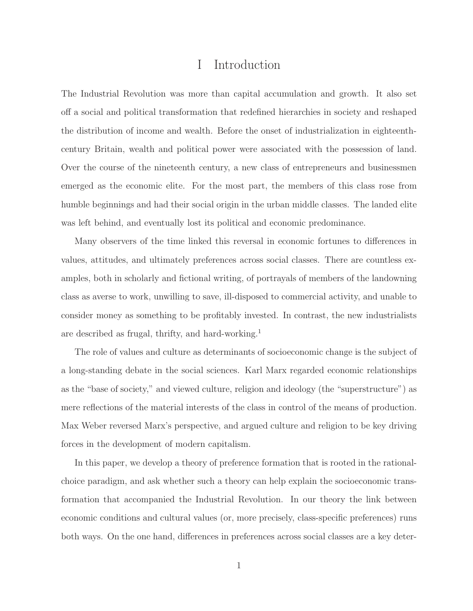### I Introduction

The Industrial Revolution was more than capital accumulation and growth. It also set off a social and political transformation that redefined hierarchies in society and reshaped the distribution of income and wealth. Before the onset of industrialization in eighteenthcentury Britain, wealth and political power were associated with the possession of land. Over the course of the nineteenth century, a new class of entrepreneurs and businessmen emerged as the economic elite. For the most part, the members of this class rose from humble beginnings and had their social origin in the urban middle classes. The landed elite was left behind, and eventually lost its political and economic predominance.

Many observers of the time linked this reversal in economic fortunes to differences in values, attitudes, and ultimately preferences across social classes. There are countless examples, both in scholarly and fictional writing, of portrayals of members of the landowning class as averse to work, unwilling to save, ill-disposed to commercial activity, and unable to consider money as something to be profitably invested. In contrast, the new industrialists are described as frugal, thrifty, and hard-working.<sup>1</sup>

The role of values and culture as determinants of socioeconomic change is the subject of a long-standing debate in the social sciences. Karl Marx regarded economic relationships as the "base of society," and viewed culture, religion and ideology (the "superstructure") as mere reflections of the material interests of the class in control of the means of production. Max Weber reversed Marx's perspective, and argued culture and religion to be key driving forces in the development of modern capitalism.

In this paper, we develop a theory of preference formation that is rooted in the rationalchoice paradigm, and ask whether such a theory can help explain the socioeconomic transformation that accompanied the Industrial Revolution. In our theory the link between economic conditions and cultural values (or, more precisely, class-specific preferences) runs both ways. On the one hand, differences in preferences across social classes are a key deter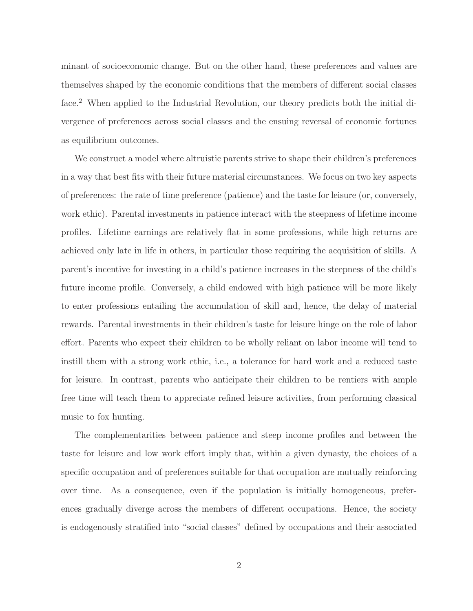minant of socioeconomic change. But on the other hand, these preferences and values are themselves shaped by the economic conditions that the members of different social classes face.<sup>2</sup> When applied to the Industrial Revolution, our theory predicts both the initial divergence of preferences across social classes and the ensuing reversal of economic fortunes as equilibrium outcomes.

We construct a model where altruistic parents strive to shape their children's preferences in a way that best fits with their future material circumstances. We focus on two key aspects of preferences: the rate of time preference (patience) and the taste for leisure (or, conversely, work ethic). Parental investments in patience interact with the steepness of lifetime income profiles. Lifetime earnings are relatively flat in some professions, while high returns are achieved only late in life in others, in particular those requiring the acquisition of skills. A parent's incentive for investing in a child's patience increases in the steepness of the child's future income profile. Conversely, a child endowed with high patience will be more likely to enter professions entailing the accumulation of skill and, hence, the delay of material rewards. Parental investments in their children's taste for leisure hinge on the role of labor effort. Parents who expect their children to be wholly reliant on labor income will tend to instill them with a strong work ethic, i.e., a tolerance for hard work and a reduced taste for leisure. In contrast, parents who anticipate their children to be rentiers with ample free time will teach them to appreciate refined leisure activities, from performing classical music to fox hunting.

The complementarities between patience and steep income profiles and between the taste for leisure and low work effort imply that, within a given dynasty, the choices of a specific occupation and of preferences suitable for that occupation are mutually reinforcing over time. As a consequence, even if the population is initially homogeneous, preferences gradually diverge across the members of different occupations. Hence, the society is endogenously stratified into "social classes" defined by occupations and their associated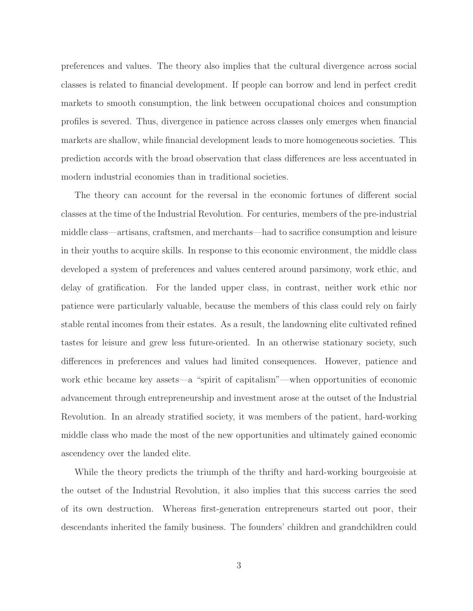preferences and values. The theory also implies that the cultural divergence across social classes is related to financial development. If people can borrow and lend in perfect credit markets to smooth consumption, the link between occupational choices and consumption profiles is severed. Thus, divergence in patience across classes only emerges when financial markets are shallow, while financial development leads to more homogeneous societies. This prediction accords with the broad observation that class differences are less accentuated in modern industrial economies than in traditional societies.

The theory can account for the reversal in the economic fortunes of different social classes at the time of the Industrial Revolution. For centuries, members of the pre-industrial middle class—artisans, craftsmen, and merchants—had to sacrifice consumption and leisure in their youths to acquire skills. In response to this economic environment, the middle class developed a system of preferences and values centered around parsimony, work ethic, and delay of gratification. For the landed upper class, in contrast, neither work ethic nor patience were particularly valuable, because the members of this class could rely on fairly stable rental incomes from their estates. As a result, the landowning elite cultivated refined tastes for leisure and grew less future-oriented. In an otherwise stationary society, such differences in preferences and values had limited consequences. However, patience and work ethic became key assets—a "spirit of capitalism"—when opportunities of economic advancement through entrepreneurship and investment arose at the outset of the Industrial Revolution. In an already stratified society, it was members of the patient, hard-working middle class who made the most of the new opportunities and ultimately gained economic ascendency over the landed elite.

While the theory predicts the triumph of the thrifty and hard-working bourgeoisie at the outset of the Industrial Revolution, it also implies that this success carries the seed of its own destruction. Whereas first-generation entrepreneurs started out poor, their descendants inherited the family business. The founders' children and grandchildren could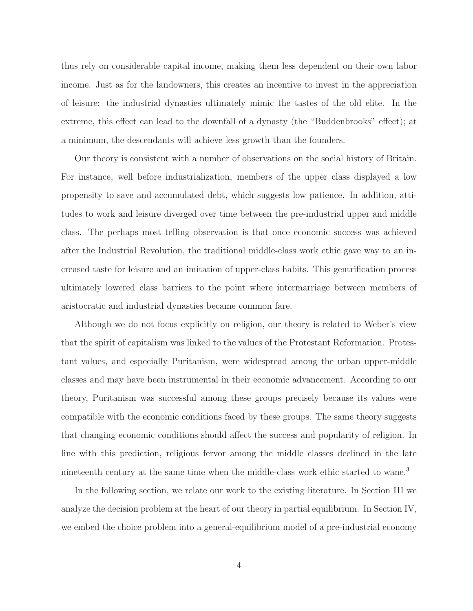thus rely on considerable capital income, making them less dependent on their own labor income. Just as for the landowners, this creates an incentive to invest in the appreciation of leisure: the industrial dynasties ultimately mimic the tastes of the old elite. In the extreme, this effect can lead to the downfall of a dynasty (the "Buddenbrooks" effect); at a minimum, the descendants will achieve less growth than the founders.

Our theory is consistent with a number of observations on the social history of Britain. For instance, well before industrialization, members of the upper class displayed a low propensity to save and accumulated debt, which suggests low patience. In addition, attitudes to work and leisure diverged over time between the pre-industrial upper and middle class. The perhaps most telling observation is that once economic success was achieved after the Industrial Revolution, the traditional middle-class work ethic gave way to an increased taste for leisure and an imitation of upper-class habits. This gentrification process ultimately lowered class barriers to the point where intermarriage between members of aristocratic and industrial dynasties became common fare.

Although we do not focus explicitly on religion, our theory is related to Weber's view that the spirit of capitalism was linked to the values of the Protestant Reformation. Protestant values, and especially Puritanism, were widespread among the urban upper-middle classes and may have been instrumental in their economic advancement. According to our theory, Puritanism was successful among these groups precisely because its values were compatible with the economic conditions faced by these groups. The same theory suggests that changing economic conditions should affect the success and popularity of religion. In line with this prediction, religious fervor among the middle classes declined in the late nineteenth century at the same time when the middle-class work ethic started to wane.<sup>3</sup>

In the following section, we relate our work to the existing literature. In Section III we analyze the decision problem at the heart of our theory in partial equilibrium. In Section IV, we embed the choice problem into a general-equilibrium model of a pre-industrial economy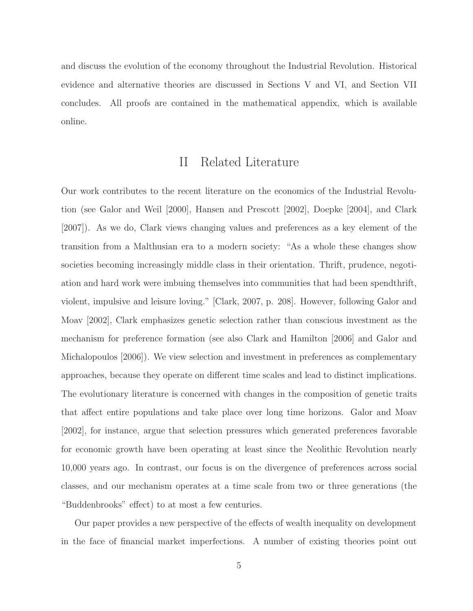and discuss the evolution of the economy throughout the Industrial Revolution. Historical evidence and alternative theories are discussed in Sections V and VI, and Section VII concludes. All proofs are contained in the mathematical appendix, which is available online.

### II Related Literature

Our work contributes to the recent literature on the economics of the Industrial Revolution (see Galor and Weil [2000], Hansen and Prescott [2002], Doepke [2004], and Clark [2007]). As we do, Clark views changing values and preferences as a key element of the transition from a Malthusian era to a modern society: "As a whole these changes show societies becoming increasingly middle class in their orientation. Thrift, prudence, negotiation and hard work were imbuing themselves into communities that had been spendthrift, violent, impulsive and leisure loving." [Clark, 2007, p. 208]. However, following Galor and Moav [2002], Clark emphasizes genetic selection rather than conscious investment as the mechanism for preference formation (see also Clark and Hamilton [2006] and Galor and Michalopoulos [2006]). We view selection and investment in preferences as complementary approaches, because they operate on different time scales and lead to distinct implications. The evolutionary literature is concerned with changes in the composition of genetic traits that affect entire populations and take place over long time horizons. Galor and Moav [2002], for instance, argue that selection pressures which generated preferences favorable for economic growth have been operating at least since the Neolithic Revolution nearly 10,000 years ago. In contrast, our focus is on the divergence of preferences across social classes, and our mechanism operates at a time scale from two or three generations (the "Buddenbrooks" effect) to at most a few centuries.

Our paper provides a new perspective of the effects of wealth inequality on development in the face of financial market imperfections. A number of existing theories point out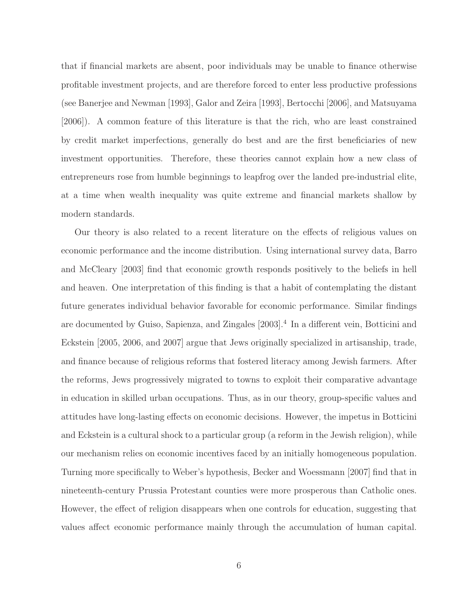that if financial markets are absent, poor individuals may be unable to finance otherwise profitable investment projects, and are therefore forced to enter less productive professions (see Banerjee and Newman [1993], Galor and Zeira [1993], Bertocchi [2006], and Matsuyama [2006]). A common feature of this literature is that the rich, who are least constrained by credit market imperfections, generally do best and are the first beneficiaries of new investment opportunities. Therefore, these theories cannot explain how a new class of entrepreneurs rose from humble beginnings to leapfrog over the landed pre-industrial elite, at a time when wealth inequality was quite extreme and financial markets shallow by modern standards.

Our theory is also related to a recent literature on the effects of religious values on economic performance and the income distribution. Using international survey data, Barro and McCleary [2003] find that economic growth responds positively to the beliefs in hell and heaven. One interpretation of this finding is that a habit of contemplating the distant future generates individual behavior favorable for economic performance. Similar findings are documented by Guiso, Sapienza, and Zingales [2003].<sup>4</sup> In a different vein, Botticini and Eckstein [2005, 2006, and 2007] argue that Jews originally specialized in artisanship, trade, and finance because of religious reforms that fostered literacy among Jewish farmers. After the reforms, Jews progressively migrated to towns to exploit their comparative advantage in education in skilled urban occupations. Thus, as in our theory, group-specific values and attitudes have long-lasting effects on economic decisions. However, the impetus in Botticini and Eckstein is a cultural shock to a particular group (a reform in the Jewish religion), while our mechanism relies on economic incentives faced by an initially homogeneous population. Turning more specifically to Weber's hypothesis, Becker and Woessmann [2007] find that in nineteenth-century Prussia Protestant counties were more prosperous than Catholic ones. However, the effect of religion disappears when one controls for education, suggesting that values affect economic performance mainly through the accumulation of human capital.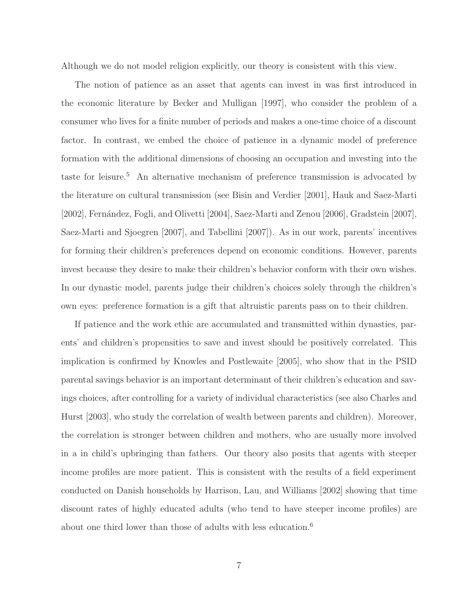Although we do not model religion explicitly, our theory is consistent with this view.

The notion of patience as an asset that agents can invest in was first introduced in the economic literature by Becker and Mulligan [1997], who consider the problem of a consumer who lives for a finite number of periods and makes a one-time choice of a discount factor. In contrast, we embed the choice of patience in a dynamic model of preference formation with the additional dimensions of choosing an occupation and investing into the taste for leisure.<sup>5</sup> An alternative mechanism of preference transmission is advocated by the literature on cultural transmission (see Bisin and Verdier [2001], Hauk and Saez-Marti [2002], Fernández, Fogli, and Olivetti [2004], Saez-Marti and Zenou [2006], Gradstein [2007], Saez-Marti and Sjoegren [2007], and Tabellini [2007]). As in our work, parents' incentives for forming their children's preferences depend on economic conditions. However, parents invest because they desire to make their children's behavior conform with their own wishes. In our dynastic model, parents judge their children's choices solely through the children's own eyes: preference formation is a gift that altruistic parents pass on to their children.

If patience and the work ethic are accumulated and transmitted within dynasties, parents' and children's propensities to save and invest should be positively correlated. This implication is confirmed by Knowles and Postlewaite [2005], who show that in the PSID parental savings behavior is an important determinant of their children's education and savings choices, after controlling for a variety of individual characteristics (see also Charles and Hurst [2003], who study the correlation of wealth between parents and children). Moreover, the correlation is stronger between children and mothers, who are usually more involved in a in child's upbringing than fathers. Our theory also posits that agents with steeper income profiles are more patient. This is consistent with the results of a field experiment conducted on Danish households by Harrison, Lau, and Williams [2002] showing that time discount rates of highly educated adults (who tend to have steeper income profiles) are about one third lower than those of adults with less education.<sup>6</sup>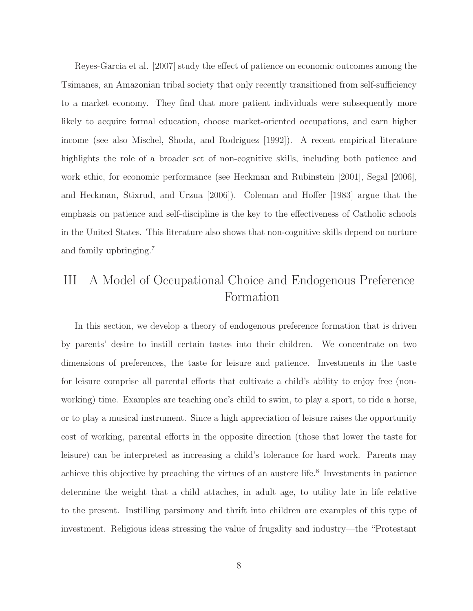Reyes-Garcia et al. [2007] study the effect of patience on economic outcomes among the Tsimanes, an Amazonian tribal society that only recently transitioned from self-sufficiency to a market economy. They find that more patient individuals were subsequently more likely to acquire formal education, choose market-oriented occupations, and earn higher income (see also Mischel, Shoda, and Rodriguez [1992]). A recent empirical literature highlights the role of a broader set of non-cognitive skills, including both patience and work ethic, for economic performance (see Heckman and Rubinstein [2001], Segal [2006], and Heckman, Stixrud, and Urzua [2006]). Coleman and Hoffer [1983] argue that the emphasis on patience and self-discipline is the key to the effectiveness of Catholic schools in the United States. This literature also shows that non-cognitive skills depend on nurture and family upbringing.<sup>7</sup>

# III A Model of Occupational Choice and Endogenous Preference Formation

In this section, we develop a theory of endogenous preference formation that is driven by parents' desire to instill certain tastes into their children. We concentrate on two dimensions of preferences, the taste for leisure and patience. Investments in the taste for leisure comprise all parental efforts that cultivate a child's ability to enjoy free (nonworking) time. Examples are teaching one's child to swim, to play a sport, to ride a horse, or to play a musical instrument. Since a high appreciation of leisure raises the opportunity cost of working, parental efforts in the opposite direction (those that lower the taste for leisure) can be interpreted as increasing a child's tolerance for hard work. Parents may achieve this objective by preaching the virtues of an austere life.<sup>8</sup> Investments in patience determine the weight that a child attaches, in adult age, to utility late in life relative to the present. Instilling parsimony and thrift into children are examples of this type of investment. Religious ideas stressing the value of frugality and industry—the "Protestant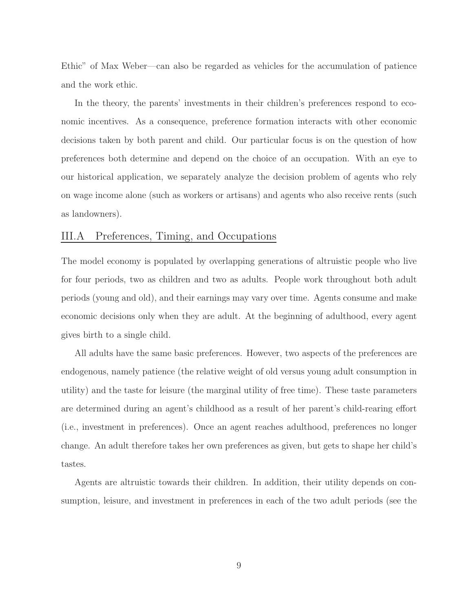Ethic" of Max Weber—can also be regarded as vehicles for the accumulation of patience and the work ethic.

In the theory, the parents' investments in their children's preferences respond to economic incentives. As a consequence, preference formation interacts with other economic decisions taken by both parent and child. Our particular focus is on the question of how preferences both determine and depend on the choice of an occupation. With an eye to our historical application, we separately analyze the decision problem of agents who rely on wage income alone (such as workers or artisans) and agents who also receive rents (such as landowners).

### III.A Preferences, Timing, and Occupations

The model economy is populated by overlapping generations of altruistic people who live for four periods, two as children and two as adults. People work throughout both adult periods (young and old), and their earnings may vary over time. Agents consume and make economic decisions only when they are adult. At the beginning of adulthood, every agent gives birth to a single child.

All adults have the same basic preferences. However, two aspects of the preferences are endogenous, namely patience (the relative weight of old versus young adult consumption in utility) and the taste for leisure (the marginal utility of free time). These taste parameters are determined during an agent's childhood as a result of her parent's child-rearing effort (i.e., investment in preferences). Once an agent reaches adulthood, preferences no longer change. An adult therefore takes her own preferences as given, but gets to shape her child's tastes.

Agents are altruistic towards their children. In addition, their utility depends on consumption, leisure, and investment in preferences in each of the two adult periods (see the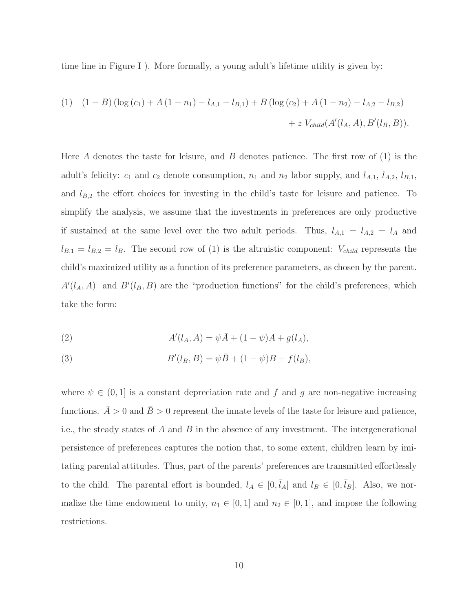time line in Figure I ). More formally, a young adult's lifetime utility is given by:

(1) 
$$
(1 - B) (\log (c_1) + A (1 - n_1) - l_{A,1} - l_{B,1}) + B (\log (c_2) + A (1 - n_2) - l_{A,2} - l_{B,2})
$$
  
+ z  $V_{child}(A'(l_A, A), B'(l_B, B)).$ 

Here A denotes the taste for leisure, and B denotes patience. The first row of  $(1)$  is the adult's felicity:  $c_1$  and  $c_2$  denote consumption,  $n_1$  and  $n_2$  labor supply, and  $l_{A,1}$ ,  $l_{A,2}$ ,  $l_{B,1}$ , and  $l_{B,2}$  the effort choices for investing in the child's taste for leisure and patience. To simplify the analysis, we assume that the investments in preferences are only productive if sustained at the same level over the two adult periods. Thus,  $l_{A,1} = l_{A,2} = l_A$  and  $l_{B,1} = l_{B,2} = l_B$ . The second row of (1) is the altruistic component:  $V_{child}$  represents the child's maximized utility as a function of its preference parameters, as chosen by the parent.  $A'(l_A, A)$  and  $B'(l_B, B)$  are the "production functions" for the child's preferences, which take the form:

(2) 
$$
A'(l_A, A) = \psi \bar{A} + (1 - \psi)A + g(l_A),
$$

(3) 
$$
B'(l_B, B) = \psi \bar{B} + (1 - \psi)B + f(l_B),
$$

where  $\psi \in (0,1]$  is a constant depreciation rate and f and g are non-negative increasing functions.  $\overline{A} > 0$  and  $\overline{B} > 0$  represent the innate levels of the taste for leisure and patience, i.e., the steady states of A and B in the absence of any investment. The intergenerational persistence of preferences captures the notion that, to some extent, children learn by imitating parental attitudes. Thus, part of the parents' preferences are transmitted effortlessly to the child. The parental effort is bounded,  $l_A \in [0, \bar{l}_A]$  and  $l_B \in [0, \bar{l}_B]$ . Also, we normalize the time endowment to unity,  $n_1 \in [0, 1]$  and  $n_2 \in [0, 1]$ , and impose the following restrictions.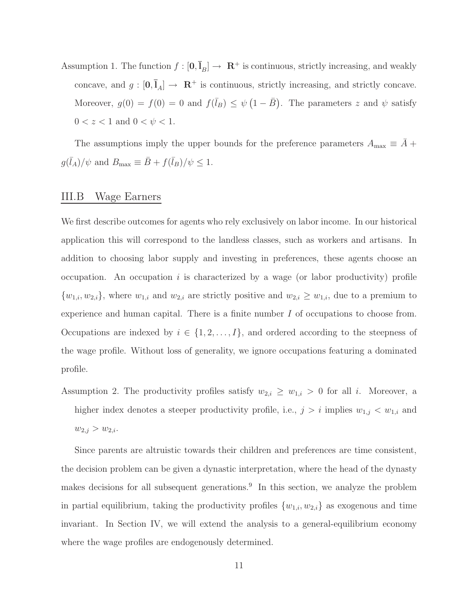Assumption 1. The function  $f : [\mathbf{0}, \bar{\mathbf{I}}_B] \to \mathbf{R}^+$  is continuous, strictly increasing, and weakly concave, and  $g : [0, \bar{I}_A] \rightarrow \mathbb{R}^+$  is continuous, strictly increasing, and strictly concave. Moreover,  $g(0) = f(0) = 0$  and  $f(\bar{l}_B) \leq \psi(1 - \bar{B})$ . The parameters z and  $\psi$  satisfy  $0 < z < 1$  and  $0 < \psi < 1$ .

The assumptions imply the upper bounds for the preference parameters  $A_{\text{max}} \equiv \overline{A} +$  $g(\bar{l}_A)/\psi$  and  $B_{\text{max}} \equiv \bar{B} + f(\bar{l}_B)/\psi \leq 1$ .

#### III.B Wage Earners

We first describe outcomes for agents who rely exclusively on labor income. In our historical application this will correspond to the landless classes, such as workers and artisans. In addition to choosing labor supply and investing in preferences, these agents choose an occupation. An occupation  $i$  is characterized by a wage (or labor productivity) profile  $\{w_{1,i}, w_{2,i}\}$ , where  $w_{1,i}$  and  $w_{2,i}$  are strictly positive and  $w_{2,i} \geq w_{1,i}$ , due to a premium to experience and human capital. There is a finite number  $I$  of occupations to choose from. Occupations are indexed by  $i \in \{1, 2, ..., I\}$ , and ordered according to the steepness of the wage profile. Without loss of generality, we ignore occupations featuring a dominated profile.

Assumption 2. The productivity profiles satisfy  $w_{2,i} \geq w_{1,i} > 0$  for all i. Moreover, a higher index denotes a steeper productivity profile, i.e.,  $j>i$  implies  $w_{1,j} < w_{1,i}$  and  $w_{2,j} > w_{2,i}.$ 

Since parents are altruistic towards their children and preferences are time consistent, the decision problem can be given a dynastic interpretation, where the head of the dynasty makes decisions for all subsequent generations.<sup>9</sup> In this section, we analyze the problem in partial equilibrium, taking the productivity profiles  $\{w_{1,i}, w_{2,i}\}$  as exogenous and time invariant. In Section IV, we will extend the analysis to a general-equilibrium economy where the wage profiles are endogenously determined.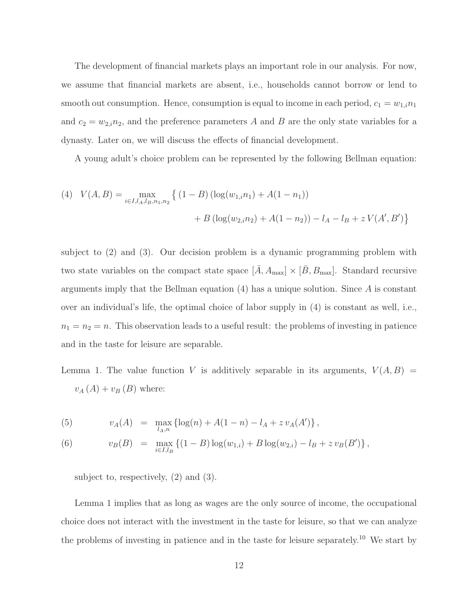The development of financial markets plays an important role in our analysis. For now, we assume that financial markets are absent, i.e., households cannot borrow or lend to smooth out consumption. Hence, consumption is equal to income in each period,  $c_1 = w_{1,i} n_1$ and  $c_2 = w_{2,i}n_2$ , and the preference parameters A and B are the only state variables for a dynasty. Later on, we will discuss the effects of financial development.

A young adult's choice problem can be represented by the following Bellman equation:

(4) 
$$
V(A, B) = \max_{i \in I, l_A, l_B, n_1, n_2} \left\{ (1 - B) \left( \log(w_{1,i} n_1) + A(1 - n_1) \right) + B \left( \log(w_{2,i} n_2) + A(1 - n_2) \right) - l_A - l_B + z V(A', B') \right\}
$$

subject to (2) and (3). Our decision problem is a dynamic programming problem with two state variables on the compact state space  $[\bar{A}, A_{\text{max}}] \times [\bar{B}, B_{\text{max}}]$ . Standard recursive arguments imply that the Bellman equation  $(4)$  has a unique solution. Since A is constant over an individual's life, the optimal choice of labor supply in (4) is constant as well, i.e.,  $n_1 = n_2 = n$ . This observation leads to a useful result: the problems of investing in patience and in the taste for leisure are separable.

Lemma 1. The value function V is additively separable in its arguments,  $V(A, B)$  =  $v_A(A) + v_B(B)$  where:

(5) 
$$
v_A(A) = \max_{l_A, n} \{ \log(n) + A(1 - n) - l_A + z v_A(A') \},
$$

(6) 
$$
v_B(B) = \max_{i \in I, l_B} \left\{ (1 - B) \log(w_{1,i}) + B \log(w_{2,i}) - l_B + z v_B(B') \right\},
$$

subject to, respectively, (2) and (3).

Lemma 1 implies that as long as wages are the only source of income, the occupational choice does not interact with the investment in the taste for leisure, so that we can analyze the problems of investing in patience and in the taste for leisure separately.<sup>10</sup> We start by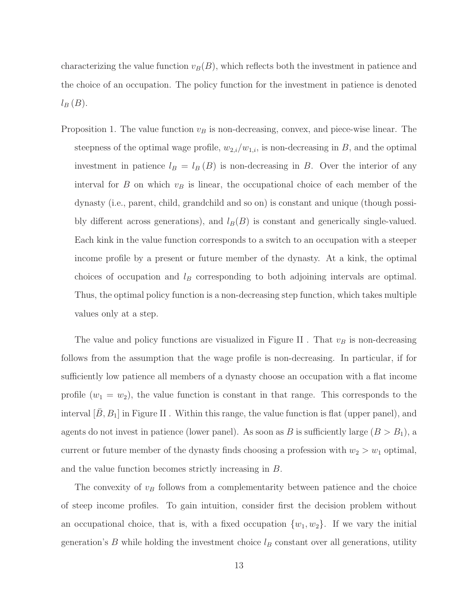characterizing the value function  $v_B(B)$ , which reflects both the investment in patience and the choice of an occupation. The policy function for the investment in patience is denoted  $l_B(B)$ .

Proposition 1. The value function  $v_B$  is non-decreasing, convex, and piece-wise linear. The steepness of the optimal wage profile,  $w_{2,i}/w_{1,i}$ , is non-decreasing in B, and the optimal investment in patience  $l_B = l_B (B)$  is non-decreasing in B. Over the interior of any interval for  $B$  on which  $v_B$  is linear, the occupational choice of each member of the dynasty (i.e., parent, child, grandchild and so on) is constant and unique (though possibly different across generations), and  $l_B(B)$  is constant and generically single-valued. Each kink in the value function corresponds to a switch to an occupation with a steeper income profile by a present or future member of the dynasty. At a kink, the optimal choices of occupation and  $l_B$  corresponding to both adjoining intervals are optimal. Thus, the optimal policy function is a non-decreasing step function, which takes multiple values only at a step.

The value and policy functions are visualized in Figure II. That  $v_B$  is non-decreasing follows from the assumption that the wage profile is non-decreasing. In particular, if for sufficiently low patience all members of a dynasty choose an occupation with a flat income profile  $(w_1 = w_2)$ , the value function is constant in that range. This corresponds to the interval  $[B, B_1]$  in Figure II. Within this range, the value function is flat (upper panel), and agents do not invest in patience (lower panel). As soon as B is sufficiently large  $(B>B_1)$ , a current or future member of the dynasty finds choosing a profession with  $w_2 > w_1$  optimal, and the value function becomes strictly increasing in B.

The convexity of  $v_B$  follows from a complementarity between patience and the choice of steep income profiles. To gain intuition, consider first the decision problem without an occupational choice, that is, with a fixed occupation  $\{w_1, w_2\}$ . If we vary the initial generation's  $B$  while holding the investment choice  $l_B$  constant over all generations, utility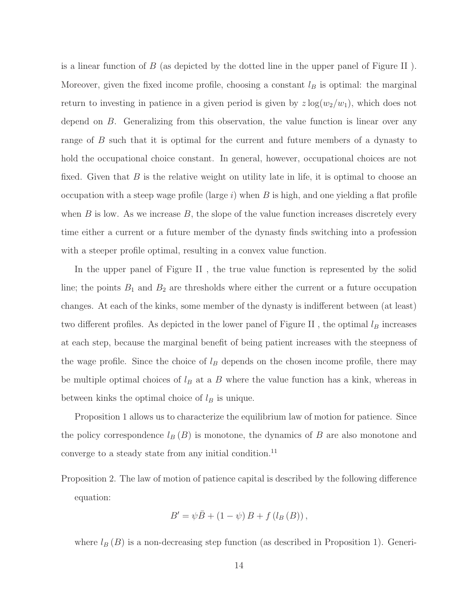is a linear function of  $B$  (as depicted by the dotted line in the upper panel of Figure II). Moreover, given the fixed income profile, choosing a constant  $l_B$  is optimal: the marginal return to investing in patience in a given period is given by  $z \log(w_2/w_1)$ , which does not depend on B. Generalizing from this observation, the value function is linear over any range of B such that it is optimal for the current and future members of a dynasty to hold the occupational choice constant. In general, however, occupational choices are not fixed. Given that  $B$  is the relative weight on utility late in life, it is optimal to choose an occupation with a steep wage profile (large i) when B is high, and one yielding a flat profile when  $B$  is low. As we increase  $B$ , the slope of the value function increases discretely every time either a current or a future member of the dynasty finds switching into a profession with a steeper profile optimal, resulting in a convex value function.

In the upper panel of Figure II , the true value function is represented by the solid line; the points  $B_1$  and  $B_2$  are thresholds where either the current or a future occupation changes. At each of the kinks, some member of the dynasty is indifferent between (at least) two different profiles. As depicted in the lower panel of Figure II , the optimal  $l_B$  increases at each step, because the marginal benefit of being patient increases with the steepness of the wage profile. Since the choice of  $l_B$  depends on the chosen income profile, there may be multiple optimal choices of  $l_B$  at a B where the value function has a kink, whereas in between kinks the optimal choice of  $l_B$  is unique.

Proposition 1 allows us to characterize the equilibrium law of motion for patience. Since the policy correspondence  $l_B (B)$  is monotone, the dynamics of B are also monotone and converge to a steady state from any initial condition.<sup>11</sup>

Proposition 2. The law of motion of patience capital is described by the following difference equation:

$$
B' = \psi \bar{B} + (1 - \psi) B + f (l_B (B)),
$$

where  $l_B (B)$  is a non-decreasing step function (as described in Proposition 1). Generi-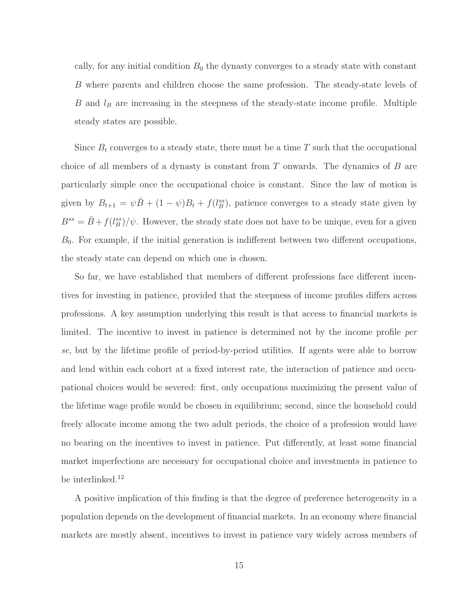cally, for any initial condition  $B_0$  the dynasty converges to a steady state with constant B where parents and children choose the same profession. The steady-state levels of  $B$  and  $l_B$  are increasing in the steepness of the steady-state income profile. Multiple steady states are possible.

Since  $B_t$  converges to a steady state, there must be a time T such that the occupational choice of all members of a dynasty is constant from  $T$  onwards. The dynamics of  $B$  are particularly simple once the occupational choice is constant. Since the law of motion is given by  $B_{t+1} = \psi \bar{B} + (1 - \psi)B_t + f(l_B^{ss})$ , patience converges to a steady state given by  $B^{ss} = \bar{B} + f(l_B^{ss})/\psi$ . However, the steady state does not have to be unique, even for a given  $B_0$ . For example, if the initial generation is indifferent between two different occupations, the steady state can depend on which one is chosen.

So far, we have established that members of different professions face different incentives for investing in patience, provided that the steepness of income profiles differs across professions. A key assumption underlying this result is that access to financial markets is limited. The incentive to invest in patience is determined not by the income profile *per se*, but by the lifetime profile of period-by-period utilities. If agents were able to borrow and lend within each cohort at a fixed interest rate, the interaction of patience and occupational choices would be severed: first, only occupations maximizing the present value of the lifetime wage profile would be chosen in equilibrium; second, since the household could freely allocate income among the two adult periods, the choice of a profession would have no bearing on the incentives to invest in patience. Put differently, at least some financial market imperfections are necessary for occupational choice and investments in patience to be interlinked.<sup>12</sup>

A positive implication of this finding is that the degree of preference heterogeneity in a population depends on the development of financial markets. In an economy where financial markets are mostly absent, incentives to invest in patience vary widely across members of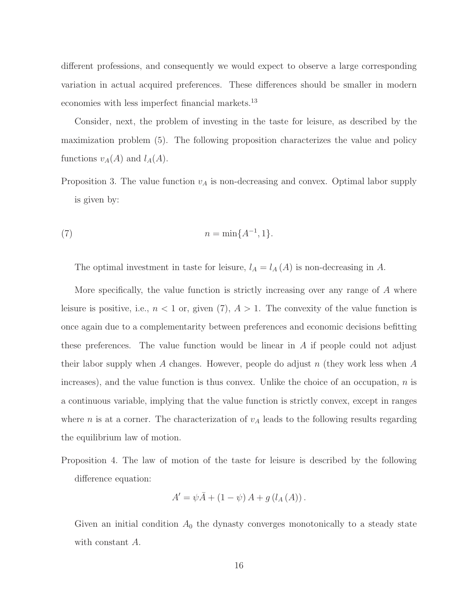different professions, and consequently we would expect to observe a large corresponding variation in actual acquired preferences. These differences should be smaller in modern economies with less imperfect financial markets.<sup>13</sup>

Consider, next, the problem of investing in the taste for leisure, as described by the maximization problem (5). The following proposition characterizes the value and policy functions  $v_A(A)$  and  $l_A(A)$ .

Proposition 3. The value function  $v_A$  is non-decreasing and convex. Optimal labor supply is given by:

(7) 
$$
n = \min\{A^{-1}, 1\}.
$$

The optimal investment in taste for leisure,  $l_A = l_A(A)$  is non-decreasing in A.

More specifically, the value function is strictly increasing over any range of  $A$  where leisure is positive, i.e.,  $n < 1$  or, given (7),  $A > 1$ . The convexity of the value function is once again due to a complementarity between preferences and economic decisions befitting these preferences. The value function would be linear in A if people could not adjust their labor supply when A changes. However, people do adjust n (they work less when A increases), and the value function is thus convex. Unlike the choice of an occupation,  $n$  is a continuous variable, implying that the value function is strictly convex, except in ranges where *n* is at a corner. The characterization of  $v_A$  leads to the following results regarding the equilibrium law of motion.

Proposition 4. The law of motion of the taste for leisure is described by the following difference equation:

$$
A' = \psi \bar{A} + (1 - \psi) A + g (l_A (A)).
$$

Given an initial condition  $A_0$  the dynasty converges monotonically to a steady state with constant A.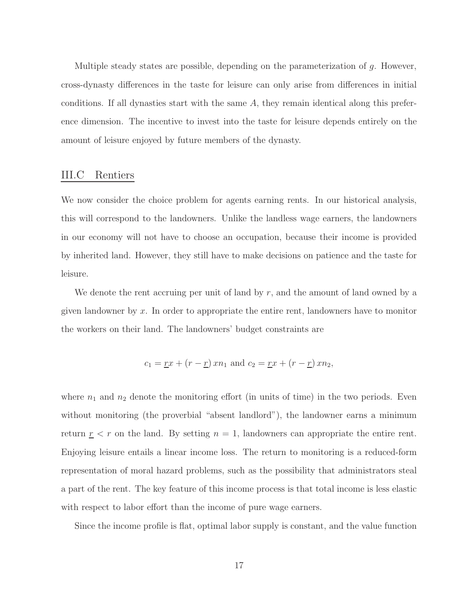Multiple steady states are possible, depending on the parameterization of  $g$ . However, cross-dynasty differences in the taste for leisure can only arise from differences in initial conditions. If all dynasties start with the same A, they remain identical along this preference dimension. The incentive to invest into the taste for leisure depends entirely on the amount of leisure enjoyed by future members of the dynasty.

#### III.C Rentiers

We now consider the choice problem for agents earning rents. In our historical analysis, this will correspond to the landowners. Unlike the landless wage earners, the landowners in our economy will not have to choose an occupation, because their income is provided by inherited land. However, they still have to make decisions on patience and the taste for leisure.

We denote the rent accruing per unit of land by  $r$ , and the amount of land owned by a given landowner by x. In order to appropriate the entire rent, landowners have to monitor the workers on their land. The landowners' budget constraints are

$$
c_1 = \underline{r}x + (r - \underline{r})xn_1
$$
 and  $c_2 = \underline{r}x + (r - \underline{r})xn_2$ ,

where  $n_1$  and  $n_2$  denote the monitoring effort (in units of time) in the two periods. Even without monitoring (the proverbial "absent landlord"), the landowner earns a minimum return  $r < r$  on the land. By setting  $n = 1$ , landowners can appropriate the entire rent. Enjoying leisure entails a linear income loss. The return to monitoring is a reduced-form representation of moral hazard problems, such as the possibility that administrators steal a part of the rent. The key feature of this income process is that total income is less elastic with respect to labor effort than the income of pure wage earners.

Since the income profile is flat, optimal labor supply is constant, and the value function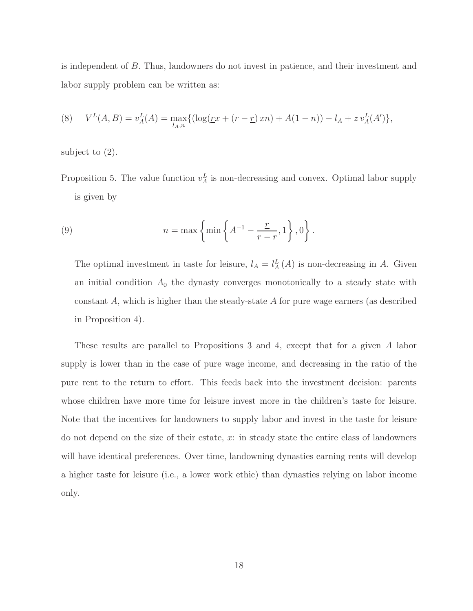is independent of B. Thus, landowners do not invest in patience, and their investment and labor supply problem can be written as:

(8) 
$$
V^{L}(A, B) = v_{A}^{L}(A) = \max_{l_{A}, n} \{ (\log(\underline{r}x + (r - \underline{r})xn) + A(1 - n)) - l_{A} + zv_{A}^{L}(A') \},
$$

subject to (2).

Proposition 5. The value function  $v_A^L$  is non-decreasing and convex. Optimal labor supply is given by

(9) 
$$
n = \max \left\{ \min \left\{ A^{-1} - \frac{\underline{r}}{r - \underline{r}}, 1 \right\}, 0 \right\}.
$$

The optimal investment in taste for leisure,  $l_A = l_A^L(A)$  is non-decreasing in A. Given an initial condition  $A_0$  the dynasty converges monotonically to a steady state with constant  $A$ , which is higher than the steady-state  $A$  for pure wage earners (as described in Proposition 4).

These results are parallel to Propositions 3 and 4, except that for a given A labor supply is lower than in the case of pure wage income, and decreasing in the ratio of the pure rent to the return to effort. This feeds back into the investment decision: parents whose children have more time for leisure invest more in the children's taste for leisure. Note that the incentives for landowners to supply labor and invest in the taste for leisure do not depend on the size of their estate, x: in steady state the entire class of landowners will have identical preferences. Over time, landowning dynasties earning rents will develop a higher taste for leisure (i.e., a lower work ethic) than dynasties relying on labor income only.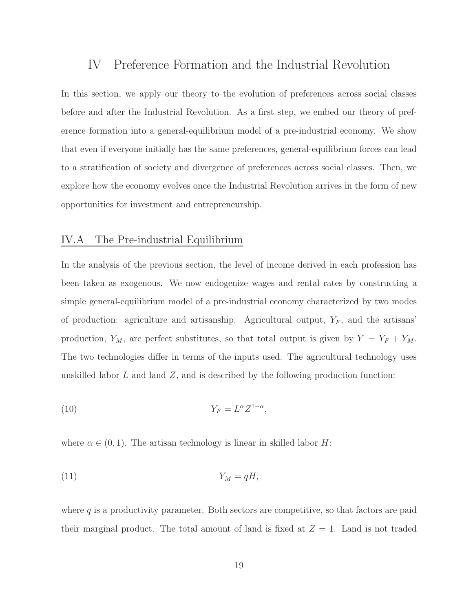### IV Preference Formation and the Industrial Revolution

In this section, we apply our theory to the evolution of preferences across social classes before and after the Industrial Revolution. As a first step, we embed our theory of preference formation into a general-equilibrium model of a pre-industrial economy. We show that even if everyone initially has the same preferences, general-equilibrium forces can lead to a stratification of society and divergence of preferences across social classes. Then, we explore how the economy evolves once the Industrial Revolution arrives in the form of new opportunities for investment and entrepreneurship.

#### IV.A The Pre-industrial Equilibrium

In the analysis of the previous section, the level of income derived in each profession has been taken as exogenous. We now endogenize wages and rental rates by constructing a simple general-equilibrium model of a pre-industrial economy characterized by two modes of production: agriculture and artisanship. Agricultural output,  $Y_F$ , and the artisans' production,  $Y_M$ , are perfect substitutes, so that total output is given by  $Y = Y_F + Y_M$ . The two technologies differ in terms of the inputs used. The agricultural technology uses unskilled labor  $L$  and land  $Z$ , and is described by the following production function:

(10) 
$$
Y_F = L^{\alpha} Z^{1-\alpha},
$$

where  $\alpha \in (0,1)$ . The artisan technology is linear in skilled labor H:

$$
(11) \t\t Y_M = qH,
$$

where  $q$  is a productivity parameter. Both sectors are competitive, so that factors are paid their marginal product. The total amount of land is fixed at  $Z = 1$ . Land is not traded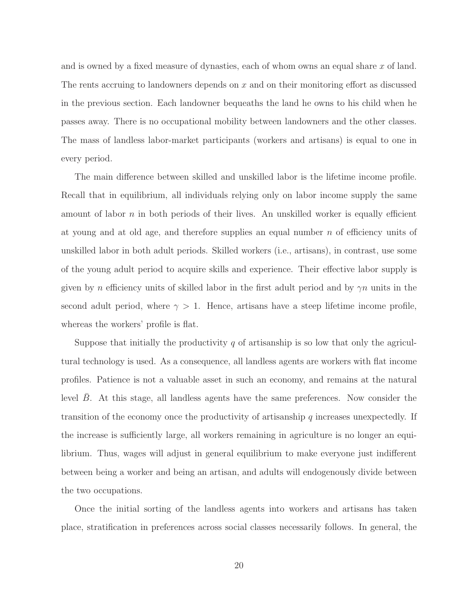and is owned by a fixed measure of dynasties, each of whom owns an equal share x of land. The rents accruing to landowners depends on x and on their monitoring effort as discussed in the previous section. Each landowner bequeaths the land he owns to his child when he passes away. There is no occupational mobility between landowners and the other classes. The mass of landless labor-market participants (workers and artisans) is equal to one in every period.

The main difference between skilled and unskilled labor is the lifetime income profile. Recall that in equilibrium, all individuals relying only on labor income supply the same amount of labor  $n$  in both periods of their lives. An unskilled worker is equally efficient at young and at old age, and therefore supplies an equal number  $n$  of efficiency units of unskilled labor in both adult periods. Skilled workers (i.e., artisans), in contrast, use some of the young adult period to acquire skills and experience. Their effective labor supply is given by n efficiency units of skilled labor in the first adult period and by  $\gamma n$  units in the second adult period, where  $\gamma > 1$ . Hence, artisans have a steep lifetime income profile, whereas the workers' profile is flat.

Suppose that initially the productivity  $q$  of artisanship is so low that only the agricultural technology is used. As a consequence, all landless agents are workers with flat income profiles. Patience is not a valuable asset in such an economy, and remains at the natural level  $B$ . At this stage, all landless agents have the same preferences. Now consider the transition of the economy once the productivity of artisanship  $q$  increases unexpectedly. If the increase is sufficiently large, all workers remaining in agriculture is no longer an equilibrium. Thus, wages will adjust in general equilibrium to make everyone just indifferent between being a worker and being an artisan, and adults will endogenously divide between the two occupations.

Once the initial sorting of the landless agents into workers and artisans has taken place, stratification in preferences across social classes necessarily follows. In general, the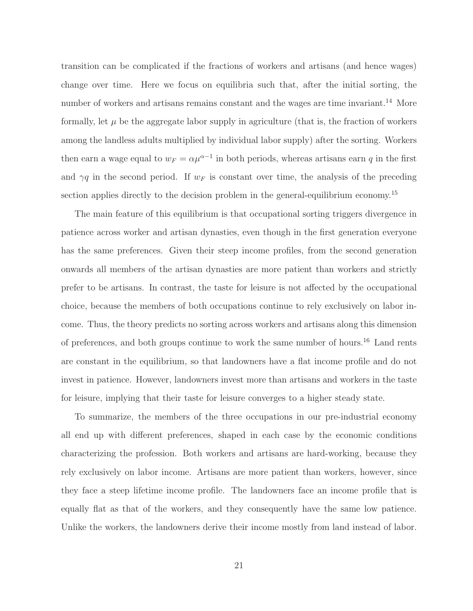transition can be complicated if the fractions of workers and artisans (and hence wages) change over time. Here we focus on equilibria such that, after the initial sorting, the number of workers and artisans remains constant and the wages are time invariant.<sup>14</sup> More formally, let  $\mu$  be the aggregate labor supply in agriculture (that is, the fraction of workers among the landless adults multiplied by individual labor supply) after the sorting. Workers then earn a wage equal to  $w_F = \alpha \mu^{\alpha-1}$  in both periods, whereas artisans earn q in the first and  $\gamma q$  in the second period. If  $w_F$  is constant over time, the analysis of the preceding section applies directly to the decision problem in the general-equilibrium economy.<sup>15</sup>

The main feature of this equilibrium is that occupational sorting triggers divergence in patience across worker and artisan dynasties, even though in the first generation everyone has the same preferences. Given their steep income profiles, from the second generation onwards all members of the artisan dynasties are more patient than workers and strictly prefer to be artisans. In contrast, the taste for leisure is not affected by the occupational choice, because the members of both occupations continue to rely exclusively on labor income. Thus, the theory predicts no sorting across workers and artisans along this dimension of preferences, and both groups continue to work the same number of hours.<sup>16</sup> Land rents are constant in the equilibrium, so that landowners have a flat income profile and do not invest in patience. However, landowners invest more than artisans and workers in the taste for leisure, implying that their taste for leisure converges to a higher steady state.

To summarize, the members of the three occupations in our pre-industrial economy all end up with different preferences, shaped in each case by the economic conditions characterizing the profession. Both workers and artisans are hard-working, because they rely exclusively on labor income. Artisans are more patient than workers, however, since they face a steep lifetime income profile. The landowners face an income profile that is equally flat as that of the workers, and they consequently have the same low patience. Unlike the workers, the landowners derive their income mostly from land instead of labor.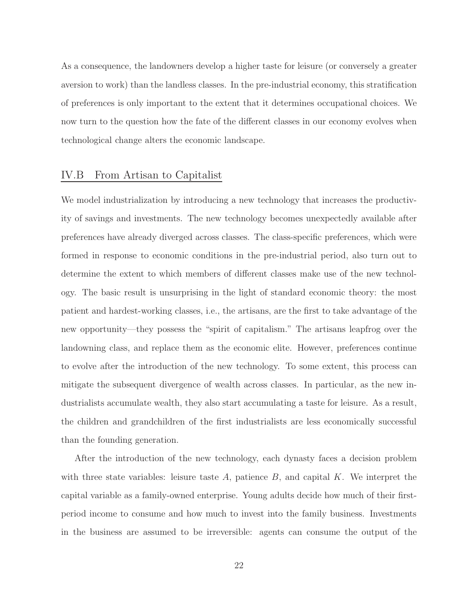As a consequence, the landowners develop a higher taste for leisure (or conversely a greater aversion to work) than the landless classes. In the pre-industrial economy, this stratification of preferences is only important to the extent that it determines occupational choices. We now turn to the question how the fate of the different classes in our economy evolves when technological change alters the economic landscape.

#### IV.B From Artisan to Capitalist

We model industrialization by introducing a new technology that increases the productivity of savings and investments. The new technology becomes unexpectedly available after preferences have already diverged across classes. The class-specific preferences, which were formed in response to economic conditions in the pre-industrial period, also turn out to determine the extent to which members of different classes make use of the new technology. The basic result is unsurprising in the light of standard economic theory: the most patient and hardest-working classes, i.e., the artisans, are the first to take advantage of the new opportunity—they possess the "spirit of capitalism." The artisans leapfrog over the landowning class, and replace them as the economic elite. However, preferences continue to evolve after the introduction of the new technology. To some extent, this process can mitigate the subsequent divergence of wealth across classes. In particular, as the new industrialists accumulate wealth, they also start accumulating a taste for leisure. As a result, the children and grandchildren of the first industrialists are less economically successful than the founding generation.

After the introduction of the new technology, each dynasty faces a decision problem with three state variables: leisure taste  $A$ , patience  $B$ , and capital  $K$ . We interpret the capital variable as a family-owned enterprise. Young adults decide how much of their firstperiod income to consume and how much to invest into the family business. Investments in the business are assumed to be irreversible: agents can consume the output of the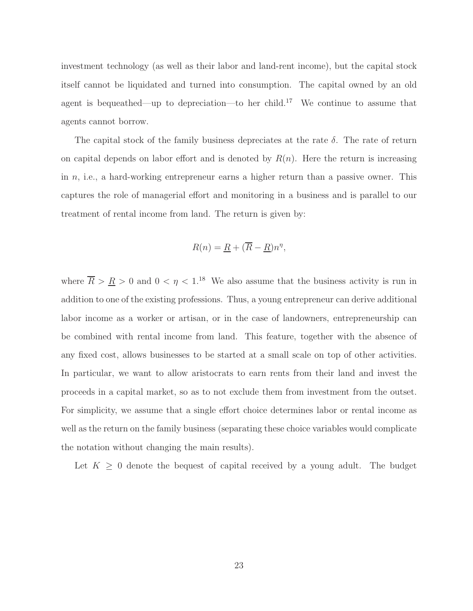investment technology (as well as their labor and land-rent income), but the capital stock itself cannot be liquidated and turned into consumption. The capital owned by an old agent is bequeathed—up to depreciation—to her child.<sup>17</sup> We continue to assume that agents cannot borrow.

The capital stock of the family business depreciates at the rate  $\delta$ . The rate of return on capital depends on labor effort and is denoted by  $R(n)$ . Here the return is increasing in  $n$ , i.e., a hard-working entrepreneur earns a higher return than a passive owner. This captures the role of managerial effort and monitoring in a business and is parallel to our treatment of rental income from land. The return is given by:

$$
R(n) = \underline{R} + (\overline{R} - \underline{R})n^{\eta},
$$

where  $\overline{R} > \underline{R} > 0$  and  $0 < \eta < 1$ .<sup>18</sup> We also assume that the business activity is run in addition to one of the existing professions. Thus, a young entrepreneur can derive additional labor income as a worker or artisan, or in the case of landowners, entrepreneurship can be combined with rental income from land. This feature, together with the absence of any fixed cost, allows businesses to be started at a small scale on top of other activities. In particular, we want to allow aristocrats to earn rents from their land and invest the proceeds in a capital market, so as to not exclude them from investment from the outset. For simplicity, we assume that a single effort choice determines labor or rental income as well as the return on the family business (separating these choice variables would complicate the notation without changing the main results).

Let  $K \geq 0$  denote the bequest of capital received by a young adult. The budget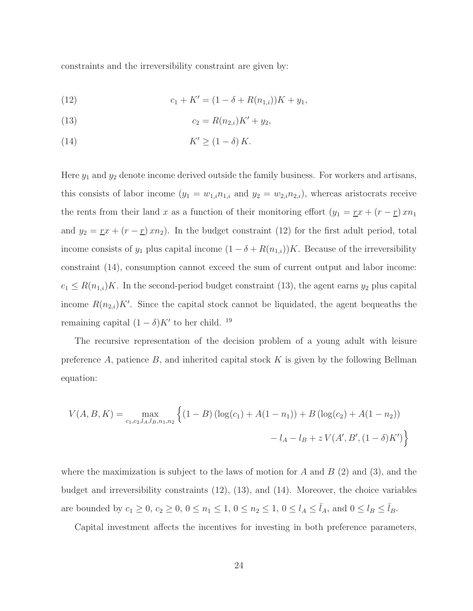constraints and the irreversibility constraint are given by:

(12) 
$$
c_1 + K' = (1 - \delta + R(n_{1,i}))K + y_1,
$$

(13) 
$$
c_2 = R(n_{2,i})K' + y_2,
$$

(14) 
$$
K' \ge (1 - \delta) K.
$$

Here  $y_1$  and  $y_2$  denote income derived outside the family business. For workers and artisans, this consists of labor income  $(y_1 = w_{1,i}n_{1,i}$  and  $y_2 = w_{2,i}n_{2,i}$ , whereas aristocrats receive the rents from their land x as a function of their monitoring effort  $(y_1 = \underline{r}x + (r - \underline{r})x_n$ and  $y_2 = \underline{r}x + (r - \underline{r})xn_2$ . In the budget constraint (12) for the first adult period, total income consists of  $y_1$  plus capital income  $(1 - \delta + R(n_{1,i}))K$ . Because of the irreversibility constraint (14), consumption cannot exceed the sum of current output and labor income:  $c_1 \leq R(n_{1,i})K$ . In the second-period budget constraint (13), the agent earns  $y_2$  plus capital income  $R(n_{2,i})K'$ . Since the capital stock cannot be liquidated, the agent bequeaths the remaining capital  $(1 - \delta)K'$  to her child.<sup>19</sup>

The recursive representation of the decision problem of a young adult with leisure preference A, patience B, and inherited capital stock  $K$  is given by the following Bellman equation:

$$
V(A, B, K) = \max_{c_1, c_2, l_A, l_B, n_1, n_2} \left\{ (1 - B) \left( \log(c_1) + A(1 - n_1) \right) + B \left( \log(c_2) + A(1 - n_2) \right) - l_A - l_B + z V(A', B', (1 - \delta) K') \right\}
$$

where the maximization is subject to the laws of motion for  $A$  and  $B(2)$  and  $(3)$ , and the budget and irreversibility constraints (12), (13), and (14). Moreover, the choice variables are bounded by  $c_1 \ge 0$ ,  $c_2 \ge 0$ ,  $0 \le n_1 \le 1$ ,  $0 \le n_2 \le 1$ ,  $0 \le l_A \le \bar{l}_A$ , and  $0 \le l_B \le \bar{l}_B$ .

Capital investment affects the incentives for investing in both preference parameters,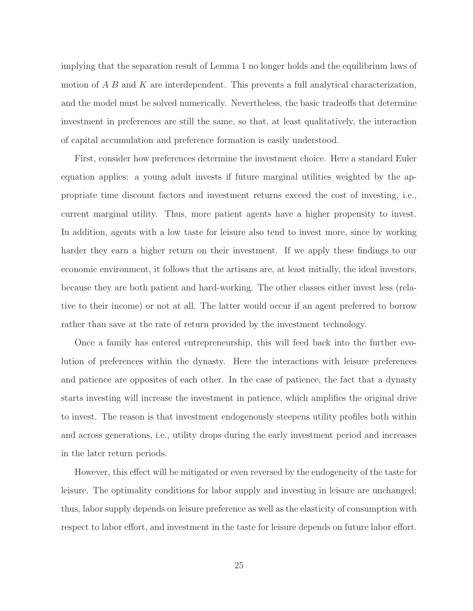implying that the separation result of Lemma 1 no longer holds and the equilibrium laws of motion of  $A \, B$  and  $K$  are interdependent. This prevents a full analytical characterization, and the model must be solved numerically. Nevertheless, the basic tradeoffs that determine investment in preferences are still the same, so that, at least qualitatively, the interaction of capital accumulation and preference formation is easily understood.

First, consider how preferences determine the investment choice. Here a standard Euler equation applies: a young adult invests if future marginal utilities weighted by the appropriate time discount factors and investment returns exceed the cost of investing, i.e., current marginal utility. Thus, more patient agents have a higher propensity to invest. In addition, agents with a low taste for leisure also tend to invest more, since by working harder they earn a higher return on their investment. If we apply these findings to our economic environment, it follows that the artisans are, at least initially, the ideal investors, because they are both patient and hard-working. The other classes either invest less (relative to their income) or not at all. The latter would occur if an agent preferred to borrow rather than save at the rate of return provided by the investment technology.

Once a family has entered entrepreneurship, this will feed back into the further evolution of preferences within the dynasty. Here the interactions with leisure preferences and patience are opposites of each other. In the case of patience, the fact that a dynasty starts investing will increase the investment in patience, which amplifies the original drive to invest. The reason is that investment endogenously steepens utility profiles both within and across generations, i.e., utility drops during the early investment period and increases in the later return periods.

However, this effect will be mitigated or even reversed by the endogeneity of the taste for leisure. The optimality conditions for labor supply and investing in leisure are unchanged; thus, labor supply depends on leisure preference as well as the elasticity of consumption with respect to labor effort, and investment in the taste for leisure depends on future labor effort.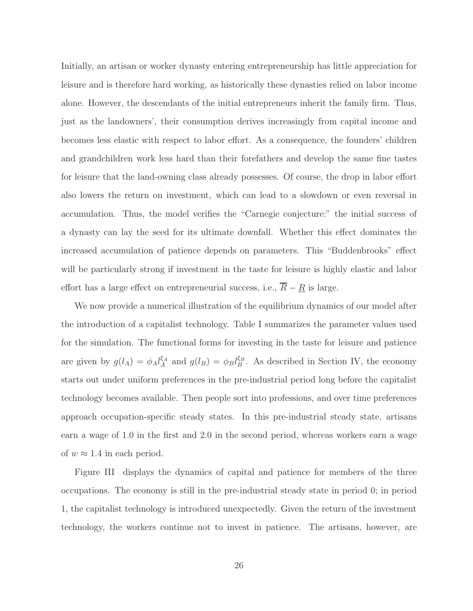Initially, an artisan or worker dynasty entering entrepreneurship has little appreciation for leisure and is therefore hard working, as historically these dynasties relied on labor income alone. However, the descendants of the initial entrepreneurs inherit the family firm. Thus, just as the landowners', their consumption derives increasingly from capital income and becomes less elastic with respect to labor effort. As a consequence, the founders' children and grandchildren work less hard than their forefathers and develop the same fine tastes for leisure that the land-owning class already possesses. Of course, the drop in labor effort also lowers the return on investment, which can lead to a slowdown or even reversal in accumulation. Thus, the model verifies the "Carnegie conjecture:" the initial success of a dynasty can lay the seed for its ultimate downfall. Whether this effect dominates the increased accumulation of patience depends on parameters. This "Buddenbrooks" effect will be particularly strong if investment in the taste for leisure is highly elastic and labor effort has a large effect on entrepreneurial success, i.e.,  $\overline{R} - \underline{R}$  is large.

We now provide a numerical illustration of the equilibrium dynamics of our model after the introduction of a capitalist technology. Table I summarizes the parameter values used for the simulation. The functional forms for investing in the taste for leisure and patience are given by  $g(l_A) = \phi_A l_A^{\xi_A}$  and  $g(l_B) = \phi_B l_B^{\xi_B}$ . As described in Section IV, the economy starts out under uniform preferences in the pre-industrial period long before the capitalist technology becomes available. Then people sort into professions, and over time preferences approach occupation-specific steady states. In this pre-industrial steady state, artisans earn a wage of 1.0 in the first and 2.0 in the second period, whereas workers earn a wage of  $w \approx 1.4$  in each period.

Figure III displays the dynamics of capital and patience for members of the three occupations. The economy is still in the pre-industrial steady state in period 0; in period 1, the capitalist technology is introduced unexpectedly. Given the return of the investment technology, the workers continue not to invest in patience. The artisans, however, are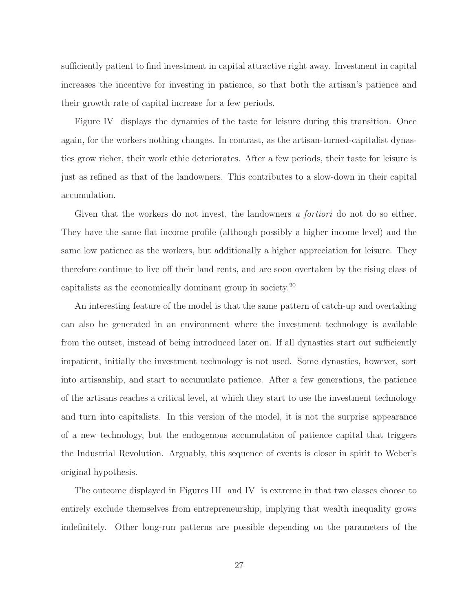sufficiently patient to find investment in capital attractive right away. Investment in capital increases the incentive for investing in patience, so that both the artisan's patience and their growth rate of capital increase for a few periods.

Figure IV displays the dynamics of the taste for leisure during this transition. Once again, for the workers nothing changes. In contrast, as the artisan-turned-capitalist dynasties grow richer, their work ethic deteriorates. After a few periods, their taste for leisure is just as refined as that of the landowners. This contributes to a slow-down in their capital accumulation.

Given that the workers do not invest, the landowners *a fortiori* do not do so either. They have the same flat income profile (although possibly a higher income level) and the same low patience as the workers, but additionally a higher appreciation for leisure. They therefore continue to live off their land rents, and are soon overtaken by the rising class of capitalists as the economically dominant group in society.<sup>20</sup>

An interesting feature of the model is that the same pattern of catch-up and overtaking can also be generated in an environment where the investment technology is available from the outset, instead of being introduced later on. If all dynasties start out sufficiently impatient, initially the investment technology is not used. Some dynasties, however, sort into artisanship, and start to accumulate patience. After a few generations, the patience of the artisans reaches a critical level, at which they start to use the investment technology and turn into capitalists. In this version of the model, it is not the surprise appearance of a new technology, but the endogenous accumulation of patience capital that triggers the Industrial Revolution. Arguably, this sequence of events is closer in spirit to Weber's original hypothesis.

The outcome displayed in Figures III and IV is extreme in that two classes choose to entirely exclude themselves from entrepreneurship, implying that wealth inequality grows indefinitely. Other long-run patterns are possible depending on the parameters of the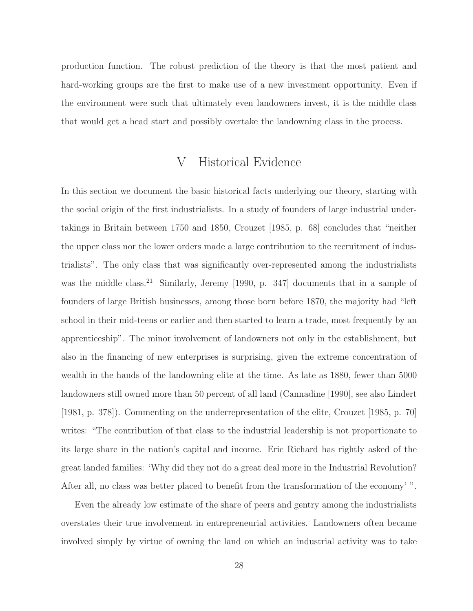production function. The robust prediction of the theory is that the most patient and hard-working groups are the first to make use of a new investment opportunity. Even if the environment were such that ultimately even landowners invest, it is the middle class that would get a head start and possibly overtake the landowning class in the process.

### V Historical Evidence

In this section we document the basic historical facts underlying our theory, starting with the social origin of the first industrialists. In a study of founders of large industrial undertakings in Britain between 1750 and 1850, Crouzet [1985, p. 68] concludes that "neither the upper class nor the lower orders made a large contribution to the recruitment of industrialists". The only class that was significantly over-represented among the industrialists was the middle class.<sup>21</sup> Similarly, Jeremy [1990, p. 347] documents that in a sample of founders of large British businesses, among those born before 1870, the majority had "left school in their mid-teens or earlier and then started to learn a trade, most frequently by an apprenticeship". The minor involvement of landowners not only in the establishment, but also in the financing of new enterprises is surprising, given the extreme concentration of wealth in the hands of the landowning elite at the time. As late as 1880, fewer than 5000 landowners still owned more than 50 percent of all land (Cannadine [1990], see also Lindert [1981, p. 378]). Commenting on the underrepresentation of the elite, Crouzet [1985, p. 70] writes: "The contribution of that class to the industrial leadership is not proportionate to its large share in the nation's capital and income. Eric Richard has rightly asked of the great landed families: 'Why did they not do a great deal more in the Industrial Revolution? After all, no class was better placed to benefit from the transformation of the economy' ".

Even the already low estimate of the share of peers and gentry among the industrialists overstates their true involvement in entrepreneurial activities. Landowners often became involved simply by virtue of owning the land on which an industrial activity was to take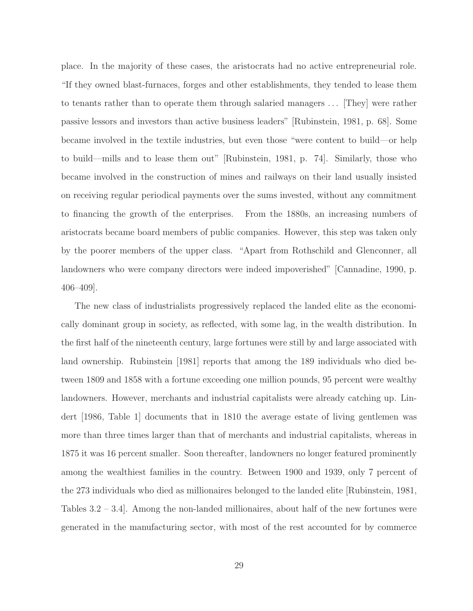place. In the majority of these cases, the aristocrats had no active entrepreneurial role. "If they owned blast-furnaces, forges and other establishments, they tended to lease them to tenants rather than to operate them through salaried managers . . . [They] were rather passive lessors and investors than active business leaders" [Rubinstein, 1981, p. 68]. Some became involved in the textile industries, but even those "were content to build—or help to build—mills and to lease them out" [Rubinstein, 1981, p. 74]. Similarly, those who became involved in the construction of mines and railways on their land usually insisted on receiving regular periodical payments over the sums invested, without any commitment to financing the growth of the enterprises. From the 1880s, an increasing numbers of aristocrats became board members of public companies. However, this step was taken only by the poorer members of the upper class. "Apart from Rothschild and Glenconner, all landowners who were company directors were indeed impoverished" [Cannadine, 1990, p. 406–409].

The new class of industrialists progressively replaced the landed elite as the economically dominant group in society, as reflected, with some lag, in the wealth distribution. In the first half of the nineteenth century, large fortunes were still by and large associated with land ownership. Rubinstein [1981] reports that among the 189 individuals who died between 1809 and 1858 with a fortune exceeding one million pounds, 95 percent were wealthy landowners. However, merchants and industrial capitalists were already catching up. Lindert [1986, Table 1] documents that in 1810 the average estate of living gentlemen was more than three times larger than that of merchants and industrial capitalists, whereas in 1875 it was 16 percent smaller. Soon thereafter, landowners no longer featured prominently among the wealthiest families in the country. Between 1900 and 1939, only 7 percent of the 273 individuals who died as millionaires belonged to the landed elite [Rubinstein, 1981, Tables 3.2 – 3.4]. Among the non-landed millionaires, about half of the new fortunes were generated in the manufacturing sector, with most of the rest accounted for by commerce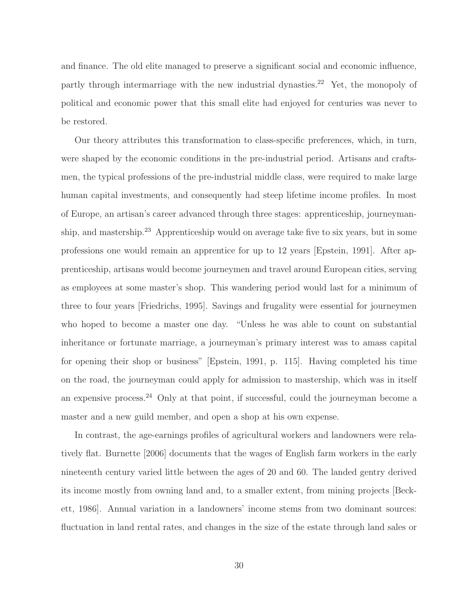and finance. The old elite managed to preserve a significant social and economic influence, partly through intermarriage with the new industrial dynasties.<sup>22</sup> Yet, the monopoly of political and economic power that this small elite had enjoyed for centuries was never to be restored.

Our theory attributes this transformation to class-specific preferences, which, in turn, were shaped by the economic conditions in the pre-industrial period. Artisans and craftsmen, the typical professions of the pre-industrial middle class, were required to make large human capital investments, and consequently had steep lifetime income profiles. In most of Europe, an artisan's career advanced through three stages: apprenticeship, journeymanship, and mastership.<sup>23</sup> Apprenticeship would on average take five to six years, but in some professions one would remain an apprentice for up to 12 years [Epstein, 1991]. After apprenticeship, artisans would become journeymen and travel around European cities, serving as employees at some master's shop. This wandering period would last for a minimum of three to four years [Friedrichs, 1995]. Savings and frugality were essential for journeymen who hoped to become a master one day. "Unless he was able to count on substantial inheritance or fortunate marriage, a journeyman's primary interest was to amass capital for opening their shop or business" [Epstein, 1991, p. 115]. Having completed his time on the road, the journeyman could apply for admission to mastership, which was in itself an expensive process.<sup>24</sup> Only at that point, if successful, could the journeyman become a master and a new guild member, and open a shop at his own expense.

In contrast, the age-earnings profiles of agricultural workers and landowners were relatively flat. Burnette [2006] documents that the wages of English farm workers in the early nineteenth century varied little between the ages of 20 and 60. The landed gentry derived its income mostly from owning land and, to a smaller extent, from mining projects [Beckett, 1986]. Annual variation in a landowners' income stems from two dominant sources: fluctuation in land rental rates, and changes in the size of the estate through land sales or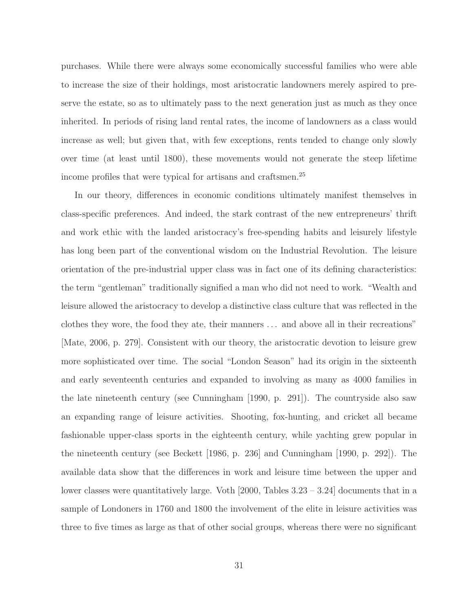purchases. While there were always some economically successful families who were able to increase the size of their holdings, most aristocratic landowners merely aspired to preserve the estate, so as to ultimately pass to the next generation just as much as they once inherited. In periods of rising land rental rates, the income of landowners as a class would increase as well; but given that, with few exceptions, rents tended to change only slowly over time (at least until 1800), these movements would not generate the steep lifetime income profiles that were typical for artisans and craftsmen.<sup>25</sup>

In our theory, differences in economic conditions ultimately manifest themselves in class-specific preferences. And indeed, the stark contrast of the new entrepreneurs' thrift and work ethic with the landed aristocracy's free-spending habits and leisurely lifestyle has long been part of the conventional wisdom on the Industrial Revolution. The leisure orientation of the pre-industrial upper class was in fact one of its defining characteristics: the term "gentleman" traditionally signified a man who did not need to work. "Wealth and leisure allowed the aristocracy to develop a distinctive class culture that was reflected in the clothes they wore, the food they ate, their manners . . . and above all in their recreations" [Mate, 2006, p. 279]. Consistent with our theory, the aristocratic devotion to leisure grew more sophisticated over time. The social "London Season" had its origin in the sixteenth and early seventeenth centuries and expanded to involving as many as 4000 families in the late nineteenth century (see Cunningham [1990, p. 291]). The countryside also saw an expanding range of leisure activities. Shooting, fox-hunting, and cricket all became fashionable upper-class sports in the eighteenth century, while yachting grew popular in the nineteenth century (see Beckett [1986, p. 236] and Cunningham [1990, p. 292]). The available data show that the differences in work and leisure time between the upper and lower classes were quantitatively large. Voth [2000, Tables 3.23 – 3.24] documents that in a sample of Londoners in 1760 and 1800 the involvement of the elite in leisure activities was three to five times as large as that of other social groups, whereas there were no significant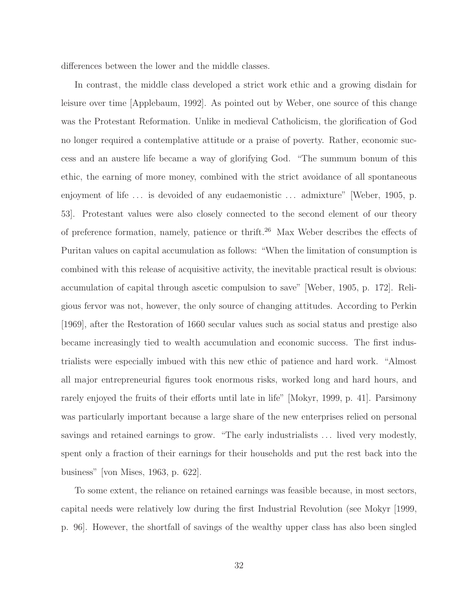differences between the lower and the middle classes.

In contrast, the middle class developed a strict work ethic and a growing disdain for leisure over time [Applebaum, 1992]. As pointed out by Weber, one source of this change was the Protestant Reformation. Unlike in medieval Catholicism, the glorification of God no longer required a contemplative attitude or a praise of poverty. Rather, economic success and an austere life became a way of glorifying God. "The summum bonum of this ethic, the earning of more money, combined with the strict avoidance of all spontaneous enjoyment of life ... is devoided of any eudaemonistic ... admixture" [Weber, 1905, p. 53]. Protestant values were also closely connected to the second element of our theory of preference formation, namely, patience or thrift.<sup>26</sup> Max Weber describes the effects of Puritan values on capital accumulation as follows: "When the limitation of consumption is combined with this release of acquisitive activity, the inevitable practical result is obvious: accumulation of capital through ascetic compulsion to save" [Weber, 1905, p. 172]. Religious fervor was not, however, the only source of changing attitudes. According to Perkin [1969], after the Restoration of 1660 secular values such as social status and prestige also became increasingly tied to wealth accumulation and economic success. The first industrialists were especially imbued with this new ethic of patience and hard work. "Almost all major entrepreneurial figures took enormous risks, worked long and hard hours, and rarely enjoyed the fruits of their efforts until late in life" [Mokyr, 1999, p. 41]. Parsimony was particularly important because a large share of the new enterprises relied on personal savings and retained earnings to grow. "The early industrialists ... lived very modestly, spent only a fraction of their earnings for their households and put the rest back into the business" [von Mises, 1963, p. 622].

To some extent, the reliance on retained earnings was feasible because, in most sectors, capital needs were relatively low during the first Industrial Revolution (see Mokyr [1999, p. 96]. However, the shortfall of savings of the wealthy upper class has also been singled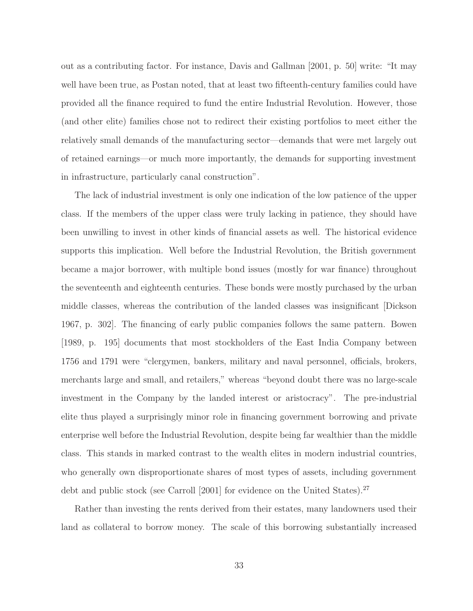out as a contributing factor. For instance, Davis and Gallman [2001, p. 50] write: "It may well have been true, as Postan noted, that at least two fifteenth-century families could have provided all the finance required to fund the entire Industrial Revolution. However, those (and other elite) families chose not to redirect their existing portfolios to meet either the relatively small demands of the manufacturing sector—demands that were met largely out of retained earnings—or much more importantly, the demands for supporting investment in infrastructure, particularly canal construction".

The lack of industrial investment is only one indication of the low patience of the upper class. If the members of the upper class were truly lacking in patience, they should have been unwilling to invest in other kinds of financial assets as well. The historical evidence supports this implication. Well before the Industrial Revolution, the British government became a major borrower, with multiple bond issues (mostly for war finance) throughout the seventeenth and eighteenth centuries. These bonds were mostly purchased by the urban middle classes, whereas the contribution of the landed classes was insignificant [Dickson 1967, p. 302]. The financing of early public companies follows the same pattern. Bowen [1989, p. 195] documents that most stockholders of the East India Company between 1756 and 1791 were "clergymen, bankers, military and naval personnel, officials, brokers, merchants large and small, and retailers," whereas "beyond doubt there was no large-scale investment in the Company by the landed interest or aristocracy". The pre-industrial elite thus played a surprisingly minor role in financing government borrowing and private enterprise well before the Industrial Revolution, despite being far wealthier than the middle class. This stands in marked contrast to the wealth elites in modern industrial countries, who generally own disproportionate shares of most types of assets, including government debt and public stock (see Carroll [2001] for evidence on the United States).<sup>27</sup>

Rather than investing the rents derived from their estates, many landowners used their land as collateral to borrow money. The scale of this borrowing substantially increased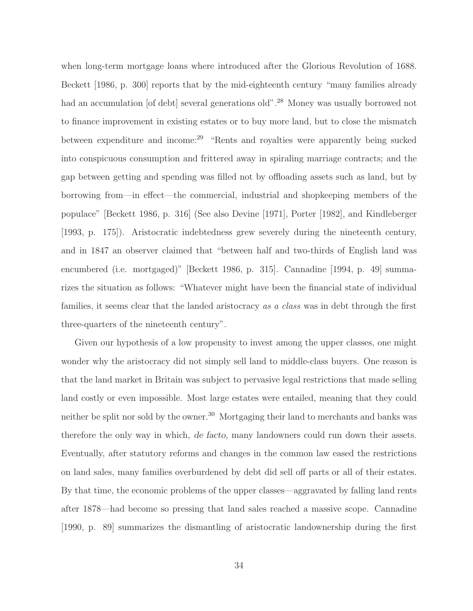when long-term mortgage loans where introduced after the Glorious Revolution of 1688. Beckett [1986, p. 300] reports that by the mid-eighteenth century "many families already had an accumulation [of debt] several generations old".<sup>28</sup> Money was usually borrowed not to finance improvement in existing estates or to buy more land, but to close the mismatch between expenditure and income:<sup>29</sup> "Rents and royalties were apparently being sucked into conspicuous consumption and frittered away in spiraling marriage contracts; and the gap between getting and spending was filled not by offloading assets such as land, but by borrowing from—in effect—the commercial, industrial and shopkeeping members of the populace" [Beckett 1986, p. 316] (See also Devine [1971], Porter [1982], and Kindleberger [1993, p. 175]). Aristocratic indebtedness grew severely during the nineteenth century, and in 1847 an observer claimed that "between half and two-thirds of English land was encumbered (i.e. mortgaged)" [Beckett 1986, p. 315]. Cannadine [1994, p. 49] summarizes the situation as follows: "Whatever might have been the financial state of individual families, it seems clear that the landed aristocracy *as a class* was in debt through the first three-quarters of the nineteenth century".

Given our hypothesis of a low propensity to invest among the upper classes, one might wonder why the aristocracy did not simply sell land to middle-class buyers. One reason is that the land market in Britain was subject to pervasive legal restrictions that made selling land costly or even impossible. Most large estates were entailed, meaning that they could neither be split nor sold by the owner.<sup>30</sup> Mortgaging their land to merchants and banks was therefore the only way in which, *de facto*, many landowners could run down their assets. Eventually, after statutory reforms and changes in the common law eased the restrictions on land sales, many families overburdened by debt did sell off parts or all of their estates. By that time, the economic problems of the upper classes—aggravated by falling land rents after 1878—had become so pressing that land sales reached a massive scope. Cannadine [1990, p. 89] summarizes the dismantling of aristocratic landownership during the first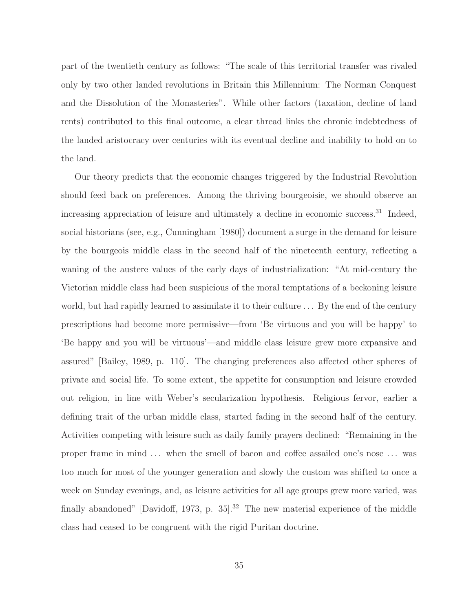part of the twentieth century as follows: "The scale of this territorial transfer was rivaled only by two other landed revolutions in Britain this Millennium: The Norman Conquest and the Dissolution of the Monasteries". While other factors (taxation, decline of land rents) contributed to this final outcome, a clear thread links the chronic indebtedness of the landed aristocracy over centuries with its eventual decline and inability to hold on to the land.

Our theory predicts that the economic changes triggered by the Industrial Revolution should feed back on preferences. Among the thriving bourgeoisie, we should observe an increasing appreciation of leisure and ultimately a decline in economic success.<sup>31</sup> Indeed, social historians (see, e.g., Cunningham [1980]) document a surge in the demand for leisure by the bourgeois middle class in the second half of the nineteenth century, reflecting a waning of the austere values of the early days of industrialization: "At mid-century the Victorian middle class had been suspicious of the moral temptations of a beckoning leisure world, but had rapidly learned to assimilate it to their culture . . . By the end of the century prescriptions had become more permissive—from 'Be virtuous and you will be happy' to 'Be happy and you will be virtuous'—and middle class leisure grew more expansive and assured" [Bailey, 1989, p. 110]. The changing preferences also affected other spheres of private and social life. To some extent, the appetite for consumption and leisure crowded out religion, in line with Weber's secularization hypothesis. Religious fervor, earlier a defining trait of the urban middle class, started fading in the second half of the century. Activities competing with leisure such as daily family prayers declined: "Remaining in the proper frame in mind . . . when the smell of bacon and coffee assailed one's nose . . . was too much for most of the younger generation and slowly the custom was shifted to once a week on Sunday evenings, and, as leisure activities for all age groups grew more varied, was finally abandoned" [Davidoff, 1973, p.  $35$ ].<sup>32</sup> The new material experience of the middle class had ceased to be congruent with the rigid Puritan doctrine.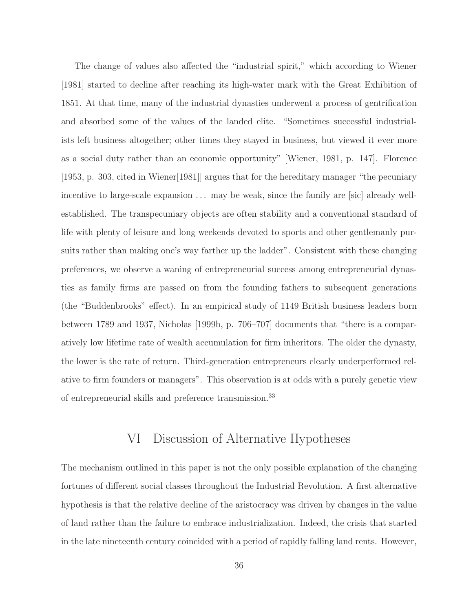The change of values also affected the "industrial spirit," which according to Wiener [1981] started to decline after reaching its high-water mark with the Great Exhibition of 1851. At that time, many of the industrial dynasties underwent a process of gentrification and absorbed some of the values of the landed elite. "Sometimes successful industrialists left business altogether; other times they stayed in business, but viewed it ever more as a social duty rather than an economic opportunity" [Wiener, 1981, p. 147]. Florence [1953, p. 303, cited in Wiener[1981]] argues that for the hereditary manager "the pecuniary incentive to large-scale expansion ... may be weak, since the family are [sic] already wellestablished. The transpecuniary objects are often stability and a conventional standard of life with plenty of leisure and long weekends devoted to sports and other gentlemanly pursuits rather than making one's way farther up the ladder". Consistent with these changing preferences, we observe a waning of entrepreneurial success among entrepreneurial dynasties as family firms are passed on from the founding fathers to subsequent generations (the "Buddenbrooks" effect). In an empirical study of 1149 British business leaders born between 1789 and 1937, Nicholas [1999b, p. 706–707] documents that "there is a comparatively low lifetime rate of wealth accumulation for firm inheritors. The older the dynasty, the lower is the rate of return. Third-generation entrepreneurs clearly underperformed relative to firm founders or managers". This observation is at odds with a purely genetic view of entrepreneurial skills and preference transmission.<sup>33</sup>

### VI Discussion of Alternative Hypotheses

The mechanism outlined in this paper is not the only possible explanation of the changing fortunes of different social classes throughout the Industrial Revolution. A first alternative hypothesis is that the relative decline of the aristocracy was driven by changes in the value of land rather than the failure to embrace industrialization. Indeed, the crisis that started in the late nineteenth century coincided with a period of rapidly falling land rents. However,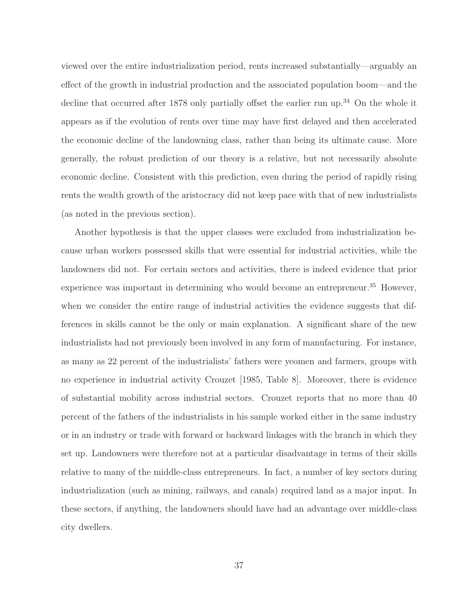viewed over the entire industrialization period, rents increased substantially—arguably an effect of the growth in industrial production and the associated population boom—and the decline that occurred after 1878 only partially offset the earlier run up.<sup>34</sup> On the whole it appears as if the evolution of rents over time may have first delayed and then accelerated the economic decline of the landowning class, rather than being its ultimate cause. More generally, the robust prediction of our theory is a relative, but not necessarily absolute economic decline. Consistent with this prediction, even during the period of rapidly rising rents the wealth growth of the aristocracy did not keep pace with that of new industrialists (as noted in the previous section).

Another hypothesis is that the upper classes were excluded from industrialization because urban workers possessed skills that were essential for industrial activities, while the landowners did not. For certain sectors and activities, there is indeed evidence that prior experience was important in determining who would become an entrepreneur.<sup>35</sup> However, when we consider the entire range of industrial activities the evidence suggests that differences in skills cannot be the only or main explanation. A significant share of the new industrialists had not previously been involved in any form of manufacturing. For instance, as many as 22 percent of the industrialists' fathers were yeomen and farmers, groups with no experience in industrial activity Crouzet [1985, Table 8]. Moreover, there is evidence of substantial mobility across industrial sectors. Crouzet reports that no more than 40 percent of the fathers of the industrialists in his sample worked either in the same industry or in an industry or trade with forward or backward linkages with the branch in which they set up. Landowners were therefore not at a particular disadvantage in terms of their skills relative to many of the middle-class entrepreneurs. In fact, a number of key sectors during industrialization (such as mining, railways, and canals) required land as a major input. In these sectors, if anything, the landowners should have had an advantage over middle-class city dwellers.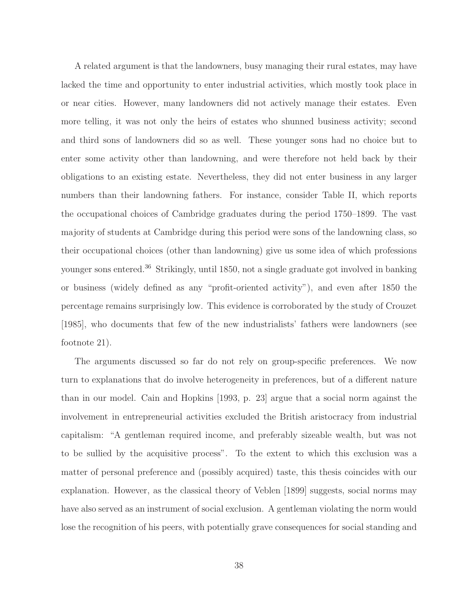A related argument is that the landowners, busy managing their rural estates, may have lacked the time and opportunity to enter industrial activities, which mostly took place in or near cities. However, many landowners did not actively manage their estates. Even more telling, it was not only the heirs of estates who shunned business activity; second and third sons of landowners did so as well. These younger sons had no choice but to enter some activity other than landowning, and were therefore not held back by their obligations to an existing estate. Nevertheless, they did not enter business in any larger numbers than their landowning fathers. For instance, consider Table II, which reports the occupational choices of Cambridge graduates during the period 1750–1899. The vast majority of students at Cambridge during this period were sons of the landowning class, so their occupational choices (other than landowning) give us some idea of which professions younger sons entered.<sup>36</sup> Strikingly, until 1850, not a single graduate got involved in banking or business (widely defined as any "profit-oriented activity"), and even after 1850 the percentage remains surprisingly low. This evidence is corroborated by the study of Crouzet [1985], who documents that few of the new industrialists' fathers were landowners (see footnote 21).

The arguments discussed so far do not rely on group-specific preferences. We now turn to explanations that do involve heterogeneity in preferences, but of a different nature than in our model. Cain and Hopkins [1993, p. 23] argue that a social norm against the involvement in entrepreneurial activities excluded the British aristocracy from industrial capitalism: "A gentleman required income, and preferably sizeable wealth, but was not to be sullied by the acquisitive process". To the extent to which this exclusion was a matter of personal preference and (possibly acquired) taste, this thesis coincides with our explanation. However, as the classical theory of Veblen [1899] suggests, social norms may have also served as an instrument of social exclusion. A gentleman violating the norm would lose the recognition of his peers, with potentially grave consequences for social standing and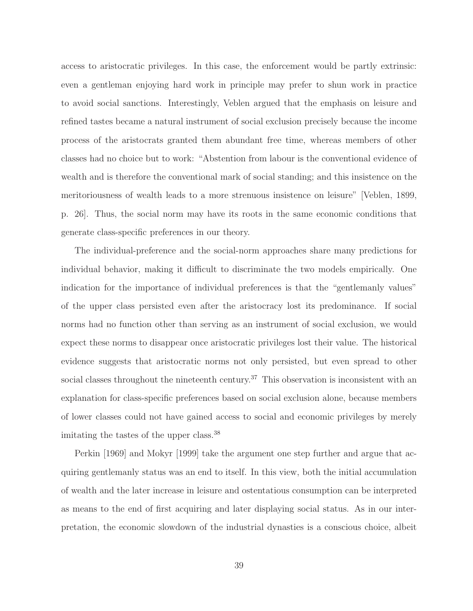access to aristocratic privileges. In this case, the enforcement would be partly extrinsic: even a gentleman enjoying hard work in principle may prefer to shun work in practice to avoid social sanctions. Interestingly, Veblen argued that the emphasis on leisure and refined tastes became a natural instrument of social exclusion precisely because the income process of the aristocrats granted them abundant free time, whereas members of other classes had no choice but to work: "Abstention from labour is the conventional evidence of wealth and is therefore the conventional mark of social standing; and this insistence on the meritoriousness of wealth leads to a more strenuous insistence on leisure" [Veblen, 1899, p. 26]. Thus, the social norm may have its roots in the same economic conditions that generate class-specific preferences in our theory.

The individual-preference and the social-norm approaches share many predictions for individual behavior, making it difficult to discriminate the two models empirically. One indication for the importance of individual preferences is that the "gentlemanly values" of the upper class persisted even after the aristocracy lost its predominance. If social norms had no function other than serving as an instrument of social exclusion, we would expect these norms to disappear once aristocratic privileges lost their value. The historical evidence suggests that aristocratic norms not only persisted, but even spread to other social classes throughout the nineteenth century.<sup>37</sup> This observation is inconsistent with an explanation for class-specific preferences based on social exclusion alone, because members of lower classes could not have gained access to social and economic privileges by merely imitating the tastes of the upper class.<sup>38</sup>

Perkin [1969] and Mokyr [1999] take the argument one step further and argue that acquiring gentlemanly status was an end to itself. In this view, both the initial accumulation of wealth and the later increase in leisure and ostentatious consumption can be interpreted as means to the end of first acquiring and later displaying social status. As in our interpretation, the economic slowdown of the industrial dynasties is a conscious choice, albeit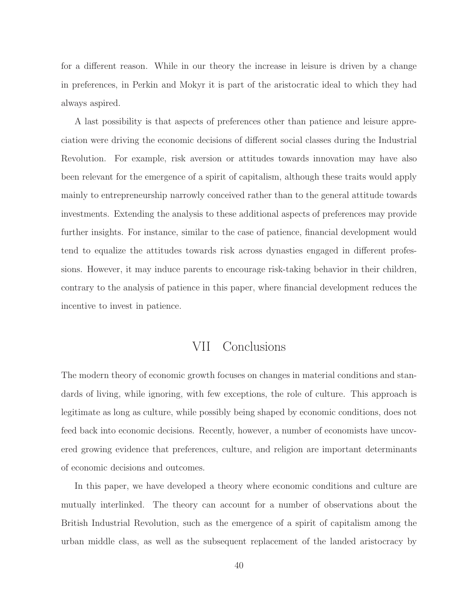for a different reason. While in our theory the increase in leisure is driven by a change in preferences, in Perkin and Mokyr it is part of the aristocratic ideal to which they had always aspired.

A last possibility is that aspects of preferences other than patience and leisure appreciation were driving the economic decisions of different social classes during the Industrial Revolution. For example, risk aversion or attitudes towards innovation may have also been relevant for the emergence of a spirit of capitalism, although these traits would apply mainly to entrepreneurship narrowly conceived rather than to the general attitude towards investments. Extending the analysis to these additional aspects of preferences may provide further insights. For instance, similar to the case of patience, financial development would tend to equalize the attitudes towards risk across dynasties engaged in different professions. However, it may induce parents to encourage risk-taking behavior in their children, contrary to the analysis of patience in this paper, where financial development reduces the incentive to invest in patience.

## VII Conclusions

The modern theory of economic growth focuses on changes in material conditions and standards of living, while ignoring, with few exceptions, the role of culture. This approach is legitimate as long as culture, while possibly being shaped by economic conditions, does not feed back into economic decisions. Recently, however, a number of economists have uncovered growing evidence that preferences, culture, and religion are important determinants of economic decisions and outcomes.

In this paper, we have developed a theory where economic conditions and culture are mutually interlinked. The theory can account for a number of observations about the British Industrial Revolution, such as the emergence of a spirit of capitalism among the urban middle class, as well as the subsequent replacement of the landed aristocracy by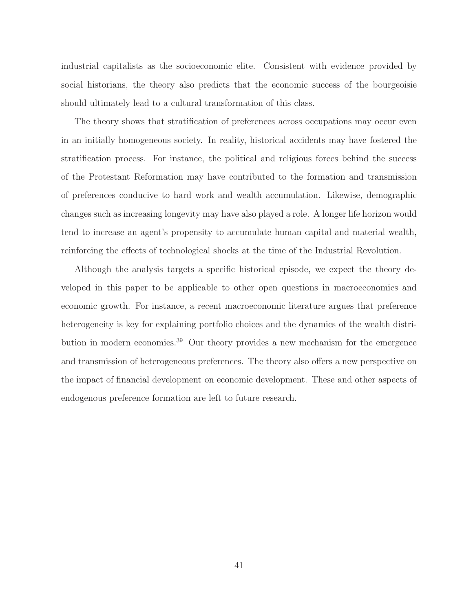industrial capitalists as the socioeconomic elite. Consistent with evidence provided by social historians, the theory also predicts that the economic success of the bourgeoisie should ultimately lead to a cultural transformation of this class.

The theory shows that stratification of preferences across occupations may occur even in an initially homogeneous society. In reality, historical accidents may have fostered the stratification process. For instance, the political and religious forces behind the success of the Protestant Reformation may have contributed to the formation and transmission of preferences conducive to hard work and wealth accumulation. Likewise, demographic changes such as increasing longevity may have also played a role. A longer life horizon would tend to increase an agent's propensity to accumulate human capital and material wealth, reinforcing the effects of technological shocks at the time of the Industrial Revolution.

Although the analysis targets a specific historical episode, we expect the theory developed in this paper to be applicable to other open questions in macroeconomics and economic growth. For instance, a recent macroeconomic literature argues that preference heterogeneity is key for explaining portfolio choices and the dynamics of the wealth distribution in modern economies.<sup>39</sup> Our theory provides a new mechanism for the emergence and transmission of heterogeneous preferences. The theory also offers a new perspective on the impact of financial development on economic development. These and other aspects of endogenous preference formation are left to future research.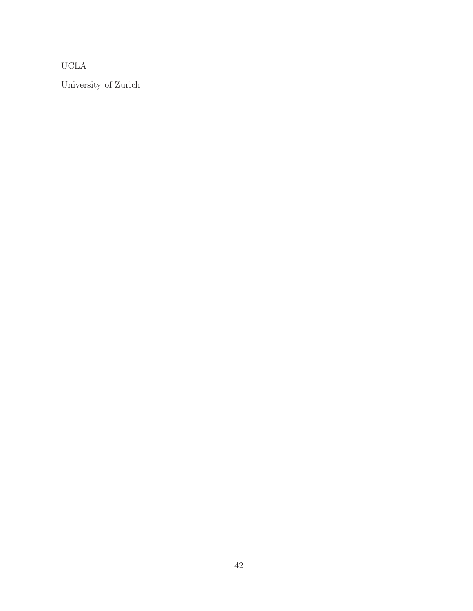UCLA

University of Zurich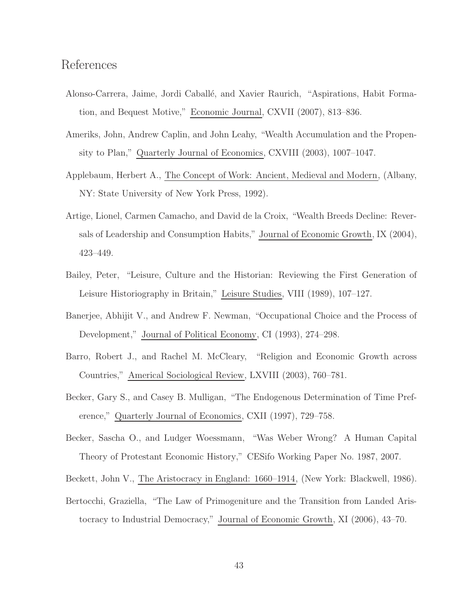### References

- Alonso-Carrera, Jaime, Jordi Caballé, and Xavier Raurich, "Aspirations, Habit Formation, and Bequest Motive," Economic Journal, CXVII (2007), 813–836.
- Ameriks, John, Andrew Caplin, and John Leahy, "Wealth Accumulation and the Propensity to Plan," Quarterly Journal of Economics, CXVIII (2003), 1007–1047.
- Applebaum, Herbert A., The Concept of Work: Ancient, Medieval and Modern, (Albany, NY: State University of New York Press, 1992).
- Artige, Lionel, Carmen Camacho, and David de la Croix, "Wealth Breeds Decline: Reversals of Leadership and Consumption Habits," Journal of Economic Growth, IX (2004), 423–449.
- Bailey, Peter, "Leisure, Culture and the Historian: Reviewing the First Generation of Leisure Historiography in Britain," Leisure Studies, VIII (1989), 107–127.
- Banerjee, Abhijit V., and Andrew F. Newman, "Occupational Choice and the Process of Development," Journal of Political Economy, CI (1993), 274–298.
- Barro, Robert J., and Rachel M. McCleary, "Religion and Economic Growth across Countries," Americal Sociological Review, LXVIII (2003), 760–781.
- Becker, Gary S., and Casey B. Mulligan, "The Endogenous Determination of Time Preference," Quarterly Journal of Economics, CXII (1997), 729–758.
- Becker, Sascha O., and Ludger Woessmann, "Was Weber Wrong? A Human Capital Theory of Protestant Economic History," CESifo Working Paper No. 1987, 2007.
- Beckett, John V., The Aristocracy in England: 1660–1914, (New York: Blackwell, 1986).
- Bertocchi, Graziella, "The Law of Primogeniture and the Transition from Landed Aristocracy to Industrial Democracy," Journal of Economic Growth, XI (2006), 43–70.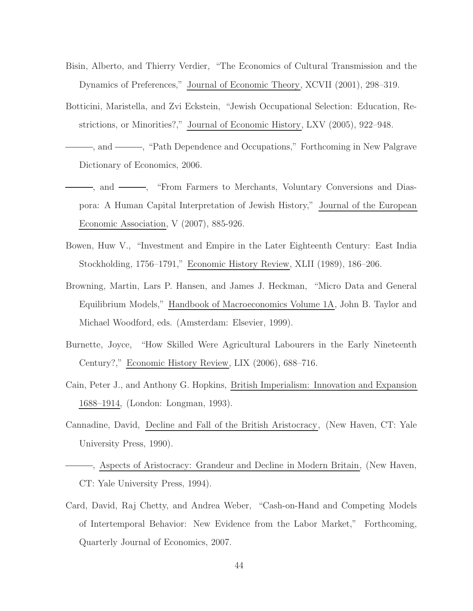- Bisin, Alberto, and Thierry Verdier, "The Economics of Cultural Transmission and the Dynamics of Preferences," Journal of Economic Theory, XCVII (2001), 298–319.
- Botticini, Maristella, and Zvi Eckstein, "Jewish Occupational Selection: Education, Restrictions, or Minorities?," Journal of Economic History, LXV (2005), 922–948.
- , and , "Path Dependence and Occupations," Forthcoming in New Palgrave Dictionary of Economics, 2006.
- $\longrightarrow$ , and  $\longrightarrow$ , "From Farmers to Merchants, Voluntary Conversions and Diaspora: A Human Capital Interpretation of Jewish History," Journal of the European Economic Association, V (2007), 885-926.
- Bowen, Huw V., "Investment and Empire in the Later Eighteenth Century: East India Stockholding, 1756–1791," Economic History Review, XLII (1989), 186–206.
- Browning, Martin, Lars P. Hansen, and James J. Heckman, "Micro Data and General Equilibrium Models," Handbook of Macroeconomics Volume 1A, John B. Taylor and Michael Woodford, eds. (Amsterdam: Elsevier, 1999).
- Burnette, Joyce, "How Skilled Were Agricultural Labourers in the Early Nineteenth Century?," Economic History Review, LIX (2006), 688–716.
- Cain, Peter J., and Anthony G. Hopkins, British Imperialism: Innovation and Expansion 1688–1914, (London: Longman, 1993).
- Cannadine, David, Decline and Fall of the British Aristocracy, (New Haven, CT: Yale University Press, 1990).
- , Aspects of Aristocracy: Grandeur and Decline in Modern Britain, (New Haven, CT: Yale University Press, 1994).
- Card, David, Raj Chetty, and Andrea Weber, "Cash-on-Hand and Competing Models of Intertemporal Behavior: New Evidence from the Labor Market," Forthcoming, Quarterly Journal of Economics, 2007.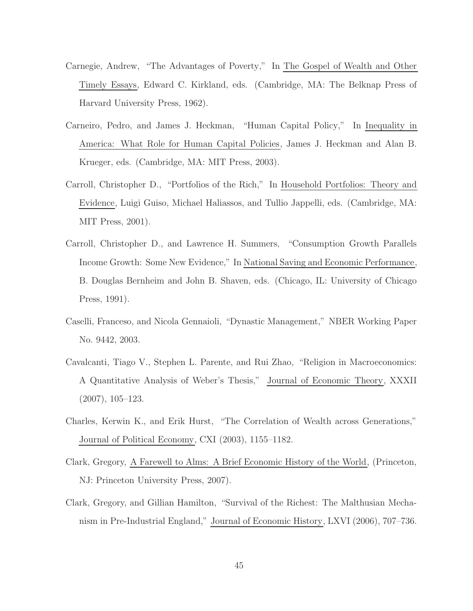- Carnegie, Andrew, "The Advantages of Poverty," In The Gospel of Wealth and Other Timely Essays, Edward C. Kirkland, eds. (Cambridge, MA: The Belknap Press of Harvard University Press, 1962).
- Carneiro, Pedro, and James J. Heckman, "Human Capital Policy," In Inequality in America: What Role for Human Capital Policies, James J. Heckman and Alan B. Krueger, eds. (Cambridge, MA: MIT Press, 2003).
- Carroll, Christopher D., "Portfolios of the Rich," In Household Portfolios: Theory and Evidence, Luigi Guiso, Michael Haliassos, and Tullio Jappelli, eds. (Cambridge, MA: MIT Press, 2001).
- Carroll, Christopher D., and Lawrence H. Summers, "Consumption Growth Parallels Income Growth: Some New Evidence," In National Saving and Economic Performance, B. Douglas Bernheim and John B. Shaven, eds. (Chicago, IL: University of Chicago Press, 1991).
- Caselli, Franceso, and Nicola Gennaioli, "Dynastic Management," NBER Working Paper No. 9442, 2003.
- Cavalcanti, Tiago V., Stephen L. Parente, and Rui Zhao, "Religion in Macroeconomics: A Quantitative Analysis of Weber's Thesis," Journal of Economic Theory, XXXII (2007), 105–123.
- Charles, Kerwin K., and Erik Hurst, "The Correlation of Wealth across Generations," Journal of Political Economy, CXI (2003), 1155–1182.
- Clark, Gregory, A Farewell to Alms: A Brief Economic History of the World, (Princeton, NJ: Princeton University Press, 2007).
- Clark, Gregory, and Gillian Hamilton, "Survival of the Richest: The Malthusian Mechanism in Pre-Industrial England," Journal of Economic History, LXVI (2006), 707–736.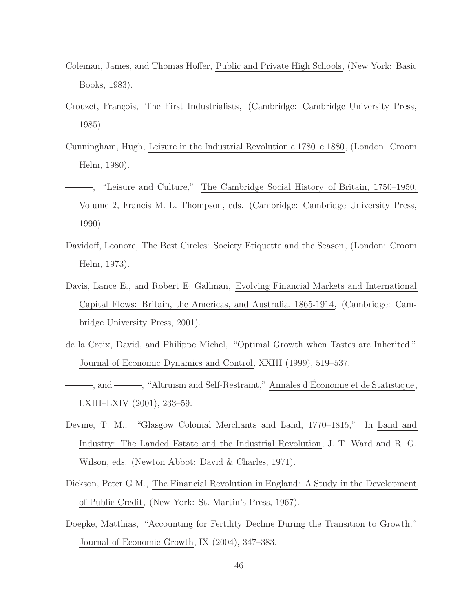- Coleman, James, and Thomas Hoffer, Public and Private High Schools, (New York: Basic Books, 1983).
- Crouzet, François, The First Industrialists, (Cambridge: Cambridge University Press, 1985).
- Cunningham, Hugh, Leisure in the Industrial Revolution c.1780–c.1880, (London: Croom Helm, 1980).
- , "Leisure and Culture," The Cambridge Social History of Britain, 1750–1950, Volume 2, Francis M. L. Thompson, eds. (Cambridge: Cambridge University Press, 1990).
- Davidoff, Leonore, The Best Circles: Society Etiquette and the Season, (London: Croom Helm, 1973).
- Davis, Lance E., and Robert E. Gallman, Evolving Financial Markets and International Capital Flows: Britain, the Americas, and Australia, 1865-1914, (Cambridge: Cambridge University Press, 2001).
- de la Croix, David, and Philippe Michel, "Optimal Growth when Tastes are Inherited," Journal of Economic Dynamics and Control, XXIII (1999), 519–537.
- , and , "Altruism and Self-Restraint," Annales d'Économie et de Statistique, LXIII–LXIV (2001), 233–59.
- Devine, T. M., "Glasgow Colonial Merchants and Land, 1770–1815," In Land and Industry: The Landed Estate and the Industrial Revolution, J. T. Ward and R. G. Wilson, eds. (Newton Abbot: David & Charles, 1971).
- Dickson, Peter G.M., The Financial Revolution in England: A Study in the Development of Public Credit, (New York: St. Martin's Press, 1967).
- Doepke, Matthias, "Accounting for Fertility Decline During the Transition to Growth," Journal of Economic Growth, IX (2004), 347–383.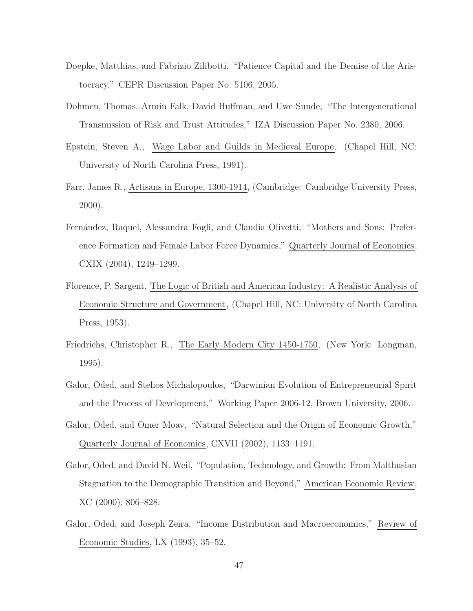- Doepke, Matthias, and Fabrizio Zilibotti, "Patience Capital and the Demise of the Aristocracy," CEPR Discussion Paper No. 5106, 2005.
- Dohmen, Thomas, Armin Falk, David Huffman, and Uwe Sunde, "The Intergenerational Transmission of Risk and Trust Attitudes," IZA Discussion Paper No. 2380, 2006.
- Epstein, Steven A., Wage Labor and Guilds in Medieval Europe, (Chapel Hill, NC: University of North Carolina Press, 1991).
- Farr, James R., Artisans in Europe, 1300-1914, (Cambridge: Cambridge University Press, 2000).
- Fern´andez, Raquel, Alessandra Fogli, and Claudia Olivetti, "Mothers and Sons: Preference Formation and Female Labor Force Dynamics," Quarterly Journal of Economics, CXIX (2004), 1249–1299.
- Florence, P. Sargent, The Logic of British and American Industry: A Realistic Analysis of Economic Structure and Government, (Chapel Hill, NC: University of North Carolina Press, 1953).
- Friedrichs, Christopher R., The Early Modern City 1450-1750, (New York: Longman, 1995).
- Galor, Oded, and Stelios Michalopoulos, "Darwinian Evolution of Entrepreneurial Spirit and the Process of Development," Working Paper 2006-12, Brown University, 2006.
- Galor, Oded, and Omer Moav, "Natural Selection and the Origin of Economic Growth," Quarterly Journal of Economics, CXVII (2002), 1133–1191.
- Galor, Oded, and David N. Weil, "Population, Technology, and Growth: From Malthusian Stagnation to the Demographic Transition and Beyond," American Economic Review, XC (2000), 806–828.
- Galor, Oded, and Joseph Zeira, "Income Distribution and Macroeconomics," Review of Economic Studies, LX (1993), 35–52.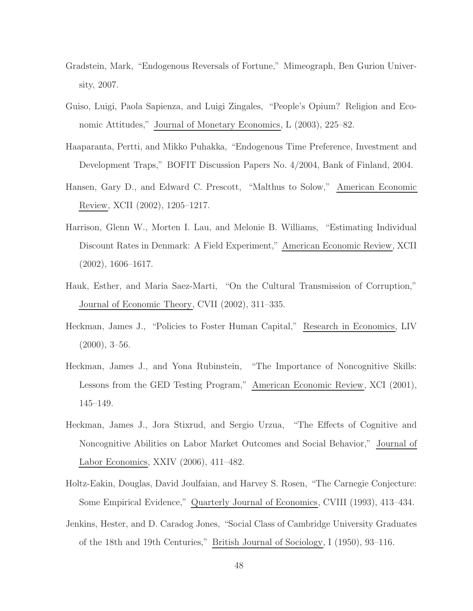- Gradstein, Mark, "Endogenous Reversals of Fortune," Mimeograph, Ben Gurion University, 2007.
- Guiso, Luigi, Paola Sapienza, and Luigi Zingales, "People's Opium? Religion and Economic Attitudes," Journal of Monetary Economics, L (2003), 225–82.
- Haaparanta, Pertti, and Mikko Puhakka, "Endogenous Time Preference, Investment and Development Traps," BOFIT Discussion Papers No. 4/2004, Bank of Finland, 2004.
- Hansen, Gary D., and Edward C. Prescott, "Malthus to Solow," American Economic Review, XCII (2002), 1205–1217.
- Harrison, Glenn W., Morten I. Lau, and Melonie B. Williams, "Estimating Individual Discount Rates in Denmark: A Field Experiment," American Economic Review, XCII (2002), 1606–1617.
- Hauk, Esther, and Maria Saez-Marti, "On the Cultural Transmission of Corruption," Journal of Economic Theory, CVII (2002), 311–335.
- Heckman, James J., "Policies to Foster Human Capital," Research in Economics, LIV  $(2000), 3-56.$
- Heckman, James J., and Yona Rubinstein, "The Importance of Noncognitive Skills: Lessons from the GED Testing Program," American Economic Review, XCI (2001), 145–149.
- Heckman, James J., Jora Stixrud, and Sergio Urzua, "The Effects of Cognitive and Noncognitive Abilities on Labor Market Outcomes and Social Behavior," Journal of Labor Economics, XXIV (2006), 411–482.
- Holtz-Eakin, Douglas, David Joulfaian, and Harvey S. Rosen, "The Carnegie Conjecture: Some Empirical Evidence," Quarterly Journal of Economics, CVIII (1993), 413–434.
- Jenkins, Hester, and D. Caradog Jones, "Social Class of Cambridge University Graduates of the 18th and 19th Centuries," British Journal of Sociology, I (1950), 93–116.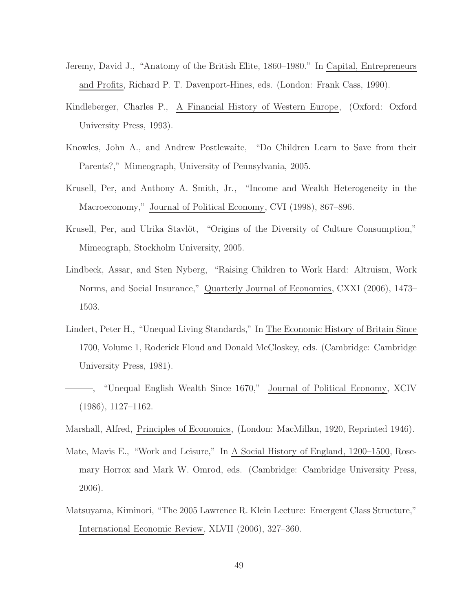- Jeremy, David J., "Anatomy of the British Elite, 1860–1980." In Capital, Entrepreneurs and Profits, Richard P. T. Davenport-Hines, eds. (London: Frank Cass, 1990).
- Kindleberger, Charles P., A Financial History of Western Europe, (Oxford: Oxford University Press, 1993).
- Knowles, John A., and Andrew Postlewaite, "Do Children Learn to Save from their Parents?," Mimeograph, University of Pennsylvania, 2005.
- Krusell, Per, and Anthony A. Smith, Jr., "Income and Wealth Heterogeneity in the Macroeconomy," Journal of Political Economy, CVI (1998), 867–896.
- Krusell, Per, and Ulrika Stavlöt, "Origins of the Diversity of Culture Consumption," Mimeograph, Stockholm University, 2005.
- Lindbeck, Assar, and Sten Nyberg, "Raising Children to Work Hard: Altruism, Work Norms, and Social Insurance," Quarterly Journal of Economics, CXXI (2006), 1473– 1503.
- Lindert, Peter H., "Unequal Living Standards," In The Economic History of Britain Since 1700, Volume 1, Roderick Floud and Donald McCloskey, eds. (Cambridge: Cambridge University Press, 1981).
- , "Unequal English Wealth Since 1670," Journal of Political Economy, XCIV (1986), 1127–1162.
- Marshall, Alfred, Principles of Economics, (London: MacMillan, 1920, Reprinted 1946).
- Mate, Mavis E., "Work and Leisure," In A Social History of England, 1200–1500, Rosemary Horrox and Mark W. Omrod, eds. (Cambridge: Cambridge University Press, 2006).
- Matsuyama, Kiminori, "The 2005 Lawrence R. Klein Lecture: Emergent Class Structure," International Economic Review, XLVII (2006), 327–360.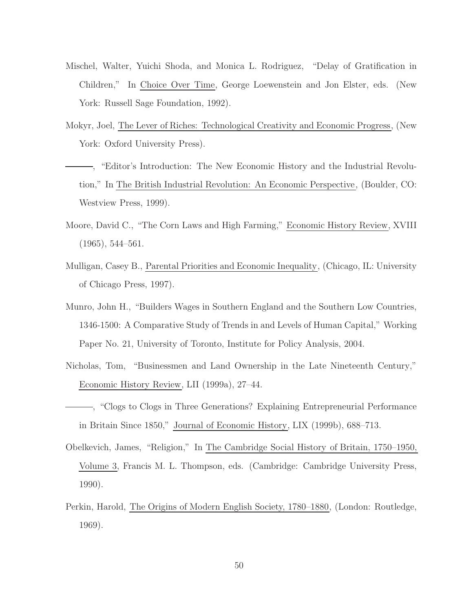- Mischel, Walter, Yuichi Shoda, and Monica L. Rodriguez, "Delay of Gratification in Children," In Choice Over Time, George Loewenstein and Jon Elster, eds. (New York: Russell Sage Foundation, 1992).
- Mokyr, Joel, The Lever of Riches: Technological Creativity and Economic Progress, (New York: Oxford University Press).
- , "Editor's Introduction: The New Economic History and the Industrial Revolution," In The British Industrial Revolution: An Economic Perspective, (Boulder, CO: Westview Press, 1999).
- Moore, David C., "The Corn Laws and High Farming," Economic History Review, XVIII (1965), 544–561.
- Mulligan, Casey B., Parental Priorities and Economic Inequality, (Chicago, IL: University of Chicago Press, 1997).
- Munro, John H., "Builders Wages in Southern England and the Southern Low Countries, 1346-1500: A Comparative Study of Trends in and Levels of Human Capital," Working Paper No. 21, University of Toronto, Institute for Policy Analysis, 2004.
- Nicholas, Tom, "Businessmen and Land Ownership in the Late Nineteenth Century," Economic History Review, LII (1999a), 27–44.
- , "Clogs to Clogs in Three Generations? Explaining Entrepreneurial Performance in Britain Since 1850," Journal of Economic History, LIX (1999b), 688–713.
- Obelkevich, James, "Religion," In The Cambridge Social History of Britain, 1750–1950, Volume 3, Francis M. L. Thompson, eds. (Cambridge: Cambridge University Press, 1990).
- Perkin, Harold, The Origins of Modern English Society, 1780–1880, (London: Routledge, 1969).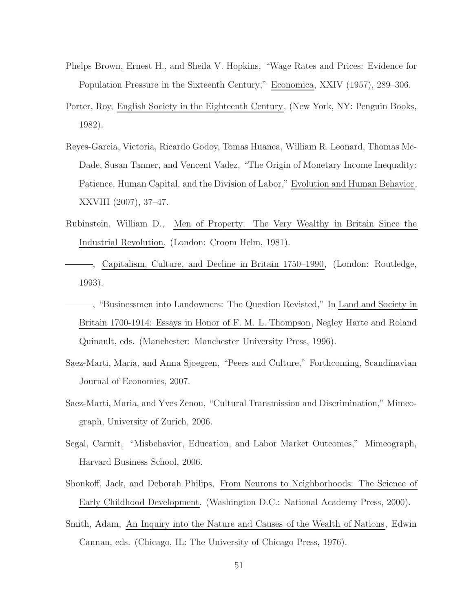- Phelps Brown, Ernest H., and Sheila V. Hopkins, "Wage Rates and Prices: Evidence for Population Pressure in the Sixteenth Century," Economica, XXIV (1957), 289–306.
- Porter, Roy, English Society in the Eighteenth Century, (New York, NY: Penguin Books, 1982).
- Reyes-Garcia, Victoria, Ricardo Godoy, Tomas Huanca, William R. Leonard, Thomas Mc-Dade, Susan Tanner, and Vencent Vadez, "The Origin of Monetary Income Inequality: Patience, Human Capital, and the Division of Labor," Evolution and Human Behavior, XXVIII (2007), 37–47.
- Rubinstein, William D., Men of Property: The Very Wealthy in Britain Since the Industrial Revolution, (London: Croom Helm, 1981).
- , Capitalism, Culture, and Decline in Britain 1750–1990, (London: Routledge, 1993).
- , "Businessmen into Landowners: The Question Revisted," In Land and Society in Britain 1700-1914: Essays in Honor of F. M. L. Thompson, Negley Harte and Roland Quinault, eds. (Manchester: Manchester University Press, 1996).
- Saez-Marti, Maria, and Anna Sjoegren, "Peers and Culture," Forthcoming, Scandinavian Journal of Economics, 2007.
- Saez-Marti, Maria, and Yves Zenou, "Cultural Transmission and Discrimination," Mimeograph, University of Zurich, 2006.
- Segal, Carmit, "Misbehavior, Education, and Labor Market Outcomes," Mimeograph, Harvard Business School, 2006.
- Shonkoff, Jack, and Deborah Philips, From Neurons to Neighborhoods: The Science of Early Childhood Development. (Washington D.C.: National Academy Press, 2000).
- Smith, Adam, An Inquiry into the Nature and Causes of the Wealth of Nations, Edwin Cannan, eds. (Chicago, IL: The University of Chicago Press, 1976).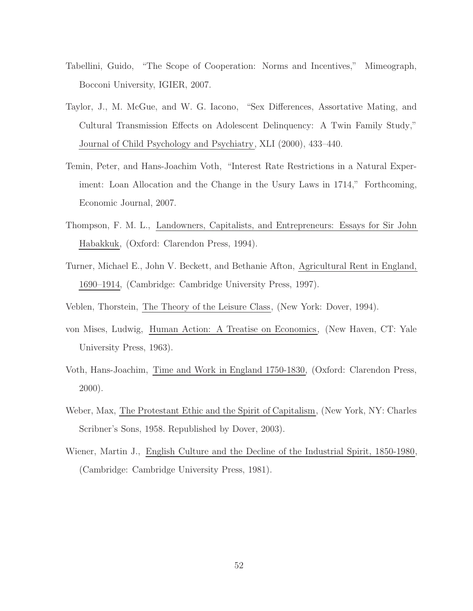- Tabellini, Guido, "The Scope of Cooperation: Norms and Incentives," Mimeograph, Bocconi University, IGIER, 2007.
- Taylor, J., M. McGue, and W. G. Iacono, "Sex Differences, Assortative Mating, and Cultural Transmission Effects on Adolescent Delinquency: A Twin Family Study," Journal of Child Psychology and Psychiatry, XLI (2000), 433–440.
- Temin, Peter, and Hans-Joachim Voth, "Interest Rate Restrictions in a Natural Experiment: Loan Allocation and the Change in the Usury Laws in 1714," Forthcoming, Economic Journal, 2007.
- Thompson, F. M. L., Landowners, Capitalists, and Entrepreneurs: Essays for Sir John Habakkuk, (Oxford: Clarendon Press, 1994).
- Turner, Michael E., John V. Beckett, and Bethanie Afton, Agricultural Rent in England, 1690–1914, (Cambridge: Cambridge University Press, 1997).
- Veblen, Thorstein, The Theory of the Leisure Class, (New York: Dover, 1994).
- von Mises, Ludwig, Human Action: A Treatise on Economics, (New Haven, CT: Yale University Press, 1963).
- Voth, Hans-Joachim, Time and Work in England 1750-1830, (Oxford: Clarendon Press, 2000).
- Weber, Max, The Protestant Ethic and the Spirit of Capitalism, (New York, NY: Charles Scribner's Sons, 1958. Republished by Dover, 2003).
- Wiener, Martin J., English Culture and the Decline of the Industrial Spirit, 1850-1980, (Cambridge: Cambridge University Press, 1981).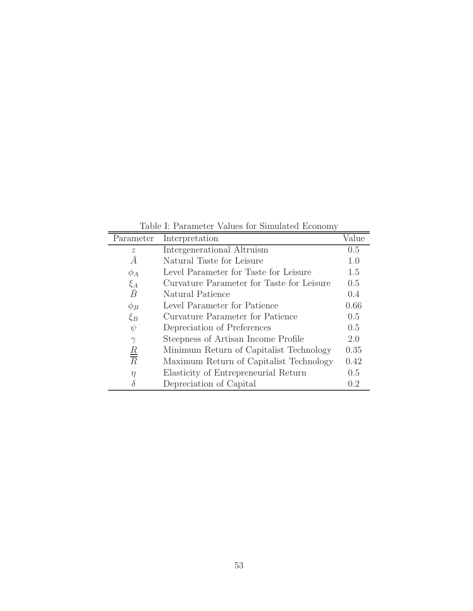Table I: Parameter Values for Simulated Economy

|                                         | Value                                                                                                                                                                                             |
|-----------------------------------------|---------------------------------------------------------------------------------------------------------------------------------------------------------------------------------------------------|
| Interpretation                          | 0.5                                                                                                                                                                                               |
|                                         | 1.0                                                                                                                                                                                               |
|                                         | 1.5                                                                                                                                                                                               |
|                                         |                                                                                                                                                                                                   |
|                                         | 0.5                                                                                                                                                                                               |
|                                         | 0.4                                                                                                                                                                                               |
|                                         | 0.66                                                                                                                                                                                              |
| Curvature Parameter for Patience        | 0.5                                                                                                                                                                                               |
| Depreciation of Preferences             | 0.5                                                                                                                                                                                               |
| Steepness of Artisan Income Profile     | 2.0                                                                                                                                                                                               |
| Minimum Return of Capitalist Technology | 0.35                                                                                                                                                                                              |
| Maximum Return of Capitalist Technology | 0.42                                                                                                                                                                                              |
| Elasticity of Entrepreneurial Return    | 0.5                                                                                                                                                                                               |
| Depreciation of Capital                 | 0.2                                                                                                                                                                                               |
|                                         | Intergenerational Altruism<br>Natural Taste for Leisure<br>Level Parameter for Taste for Leisure<br>Curvature Parameter for Taste for Leisure<br>Natural Patience<br>Level Parameter for Patience |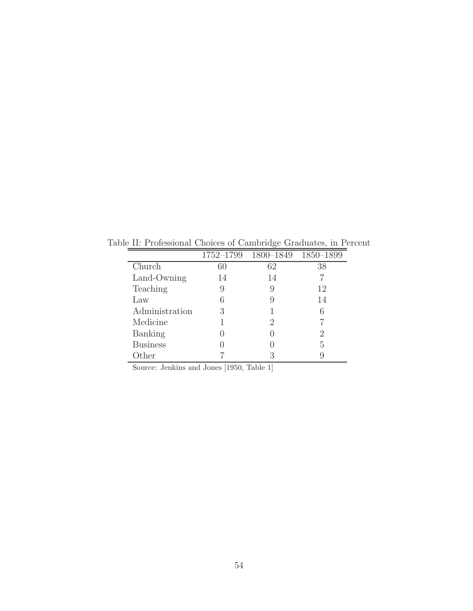|                 |    | 1752-1799 1800-1849 1850-1899 |           |
|-----------------|----|-------------------------------|-----------|
| Church          | 60 | 62                            | 38        |
| Land-Owning     | 14 | 14                            |           |
| Teaching        | 9  | 9                             | 12        |
| Law             | 6  |                               | 14        |
| Administration  | 3  |                               | 6         |
| Medicine        |    | 2                             |           |
| Banking         |    |                               | $\dot{2}$ |
| <b>Business</b> |    |                               | 5         |
| Other           |    | З                             | 9         |

Table II: Professional Choices of Cambridge Graduates, in Percent

Source: Jenkins and Jones [1950, Table 1]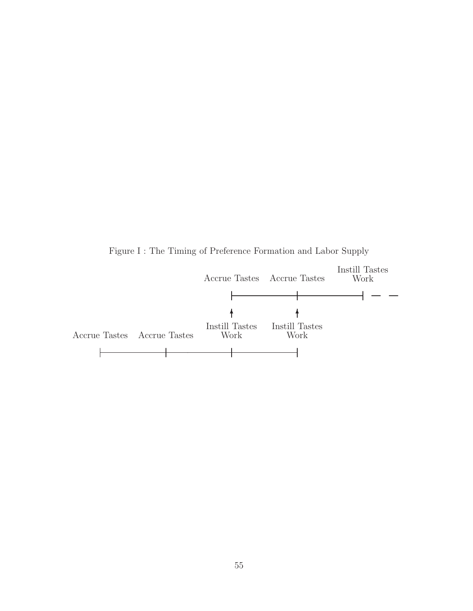Figure I : The Timing of Preference Formation and Labor Supply

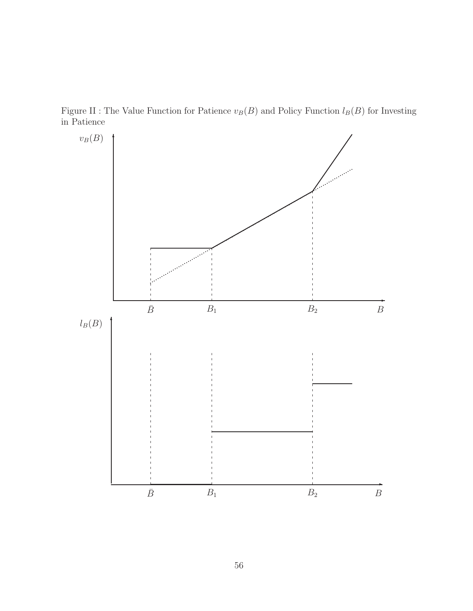Figure II : The Value Function for Patience  $v_B(B)$  and Policy Function  $l_B(B)$  for Investing in Patience

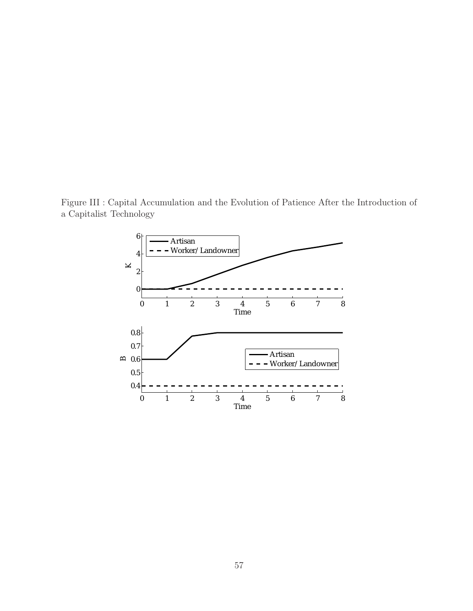Figure III : Capital Accumulation and the Evolution of Patience After the Introduction of a Capitalist Technology

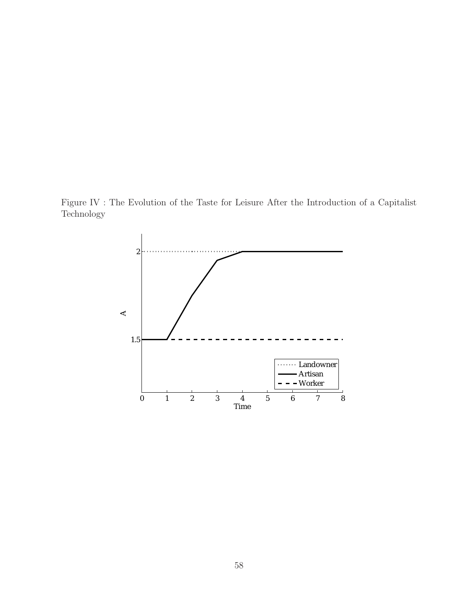Figure IV : The Evolution of the Taste for Leisure After the Introduction of a Capitalist Technology

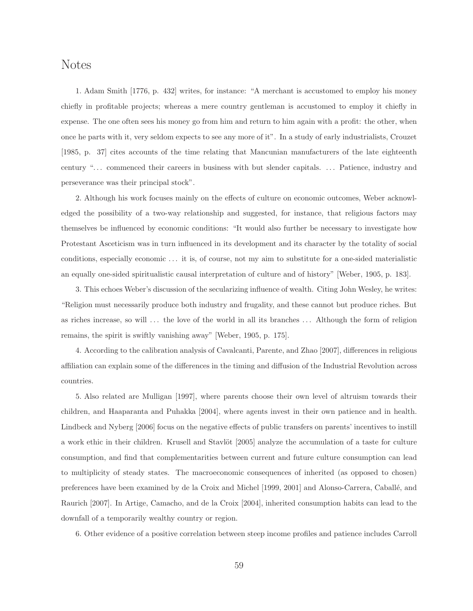### Notes

1. Adam Smith [1776, p. 432] writes, for instance: "A merchant is accustomed to employ his money chiefly in profitable projects; whereas a mere country gentleman is accustomed to employ it chiefly in expense. The one often sees his money go from him and return to him again with a profit: the other, when once he parts with it, very seldom expects to see any more of it". In a study of early industrialists, Crouzet [1985, p. 37] cites accounts of the time relating that Mancunian manufacturers of the late eighteenth century "... commenced their careers in business with but slender capitals. ... Patience, industry and perseverance was their principal stock".

2. Although his work focuses mainly on the effects of culture on economic outcomes, Weber acknowledged the possibility of a two-way relationship and suggested, for instance, that religious factors may themselves be influenced by economic conditions: "It would also further be necessary to investigate how Protestant Asceticism was in turn influenced in its development and its character by the totality of social conditions, especially economic . . . it is, of course, not my aim to substitute for a one-sided materialistic an equally one-sided spiritualistic causal interpretation of culture and of history" [Weber, 1905, p. 183].

3. This echoes Weber's discussion of the secularizing influence of wealth. Citing John Wesley, he writes: "Religion must necessarily produce both industry and frugality, and these cannot but produce riches. But as riches increase, so will . . . the love of the world in all its branches . . . Although the form of religion remains, the spirit is swiftly vanishing away" [Weber, 1905, p. 175].

4. According to the calibration analysis of Cavalcanti, Parente, and Zhao [2007], differences in religious affiliation can explain some of the differences in the timing and diffusion of the Industrial Revolution across countries.

5. Also related are Mulligan [1997], where parents choose their own level of altruism towards their children, and Haaparanta and Puhakka [2004], where agents invest in their own patience and in health. Lindbeck and Nyberg [2006] focus on the negative effects of public transfers on parents' incentives to instill a work ethic in their children. Krusell and Stavlöt [2005] analyze the accumulation of a taste for culture consumption, and find that complementarities between current and future culture consumption can lead to multiplicity of steady states. The macroeconomic consequences of inherited (as opposed to chosen) preferences have been examined by de la Croix and Michel [1999, 2001] and Alonso-Carrera, Caballé, and Raurich [2007]. In Artige, Camacho, and de la Croix [2004], inherited consumption habits can lead to the downfall of a temporarily wealthy country or region.

6. Other evidence of a positive correlation between steep income profiles and patience includes Carroll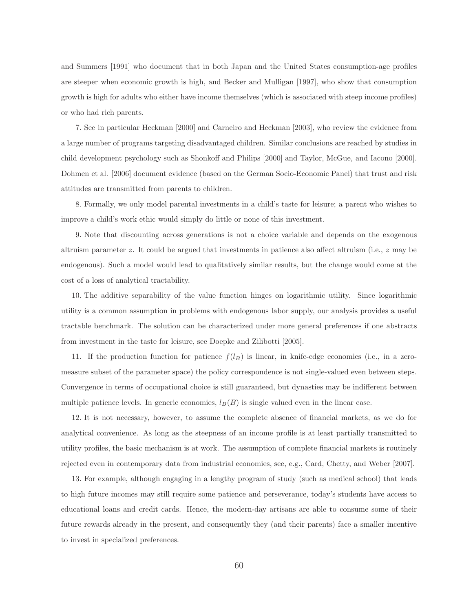and Summers [1991] who document that in both Japan and the United States consumption-age profiles are steeper when economic growth is high, and Becker and Mulligan [1997], who show that consumption growth is high for adults who either have income themselves (which is associated with steep income profiles) or who had rich parents.

7. See in particular Heckman [2000] and Carneiro and Heckman [2003], who review the evidence from a large number of programs targeting disadvantaged children. Similar conclusions are reached by studies in child development psychology such as Shonkoff and Philips [2000] and Taylor, McGue, and Iacono [2000]. Dohmen et al. [2006] document evidence (based on the German Socio-Economic Panel) that trust and risk attitudes are transmitted from parents to children.

8. Formally, we only model parental investments in a child's taste for leisure; a parent who wishes to improve a child's work ethic would simply do little or none of this investment.

9. Note that discounting across generations is not a choice variable and depends on the exogenous altruism parameter *z*. It could be argued that investments in patience also affect altruism (i.e., *z* may be endogenous). Such a model would lead to qualitatively similar results, but the change would come at the cost of a loss of analytical tractability.

10. The additive separability of the value function hinges on logarithmic utility. Since logarithmic utility is a common assumption in problems with endogenous labor supply, our analysis provides a useful tractable benchmark. The solution can be characterized under more general preferences if one abstracts from investment in the taste for leisure, see Doepke and Zilibotti [2005].

11. If the production function for patience  $f(l_B)$  is linear, in knife-edge economies (i.e., in a zeromeasure subset of the parameter space) the policy correspondence is not single-valued even between steps. Convergence in terms of occupational choice is still guaranteed, but dynasties may be indifferent between multiple patience levels. In generic economies,  $l_B(B)$  is single valued even in the linear case.

12. It is not necessary, however, to assume the complete absence of financial markets, as we do for analytical convenience. As long as the steepness of an income profile is at least partially transmitted to utility profiles, the basic mechanism is at work. The assumption of complete financial markets is routinely rejected even in contemporary data from industrial economies, see, e.g., Card, Chetty, and Weber [2007].

13. For example, although engaging in a lengthy program of study (such as medical school) that leads to high future incomes may still require some patience and perseverance, today's students have access to educational loans and credit cards. Hence, the modern-day artisans are able to consume some of their future rewards already in the present, and consequently they (and their parents) face a smaller incentive to invest in specialized preferences.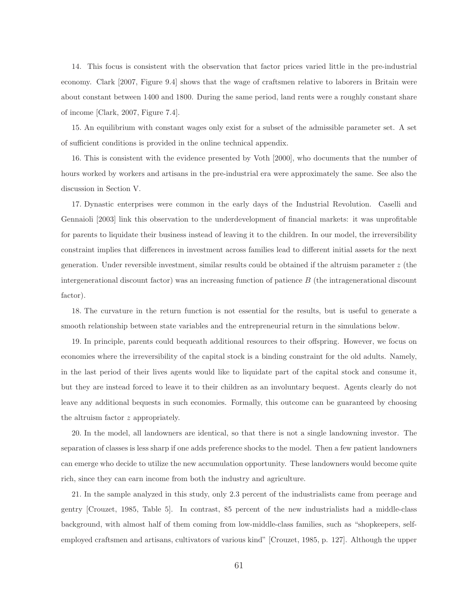14. This focus is consistent with the observation that factor prices varied little in the pre-industrial economy. Clark [2007, Figure 9.4] shows that the wage of craftsmen relative to laborers in Britain were about constant between 1400 and 1800. During the same period, land rents were a roughly constant share of income [Clark, 2007, Figure 7.4].

15. An equilibrium with constant wages only exist for a subset of the admissible parameter set. A set of sufficient conditions is provided in the online technical appendix.

16. This is consistent with the evidence presented by Voth [2000], who documents that the number of hours worked by workers and artisans in the pre-industrial era were approximately the same. See also the discussion in Section V.

17. Dynastic enterprises were common in the early days of the Industrial Revolution. Caselli and Gennaioli [2003] link this observation to the underdevelopment of financial markets: it was unprofitable for parents to liquidate their business instead of leaving it to the children. In our model, the irreversibility constraint implies that differences in investment across families lead to different initial assets for the next generation. Under reversible investment, similar results could be obtained if the altruism parameter *z* (the intergenerational discount factor) was an increasing function of patience *B* (the intragenerational discount factor).

18. The curvature in the return function is not essential for the results, but is useful to generate a smooth relationship between state variables and the entrepreneurial return in the simulations below.

19. In principle, parents could bequeath additional resources to their offspring. However, we focus on economies where the irreversibility of the capital stock is a binding constraint for the old adults. Namely, in the last period of their lives agents would like to liquidate part of the capital stock and consume it, but they are instead forced to leave it to their children as an involuntary bequest. Agents clearly do not leave any additional bequests in such economies. Formally, this outcome can be guaranteed by choosing the altruism factor *z* appropriately.

20. In the model, all landowners are identical, so that there is not a single landowning investor. The separation of classes is less sharp if one adds preference shocks to the model. Then a few patient landowners can emerge who decide to utilize the new accumulation opportunity. These landowners would become quite rich, since they can earn income from both the industry and agriculture.

21. In the sample analyzed in this study, only 2.3 percent of the industrialists came from peerage and gentry [Crouzet, 1985, Table 5]. In contrast, 85 percent of the new industrialists had a middle-class background, with almost half of them coming from low-middle-class families, such as "shopkeepers, selfemployed craftsmen and artisans, cultivators of various kind" [Crouzet, 1985, p. 127]. Although the upper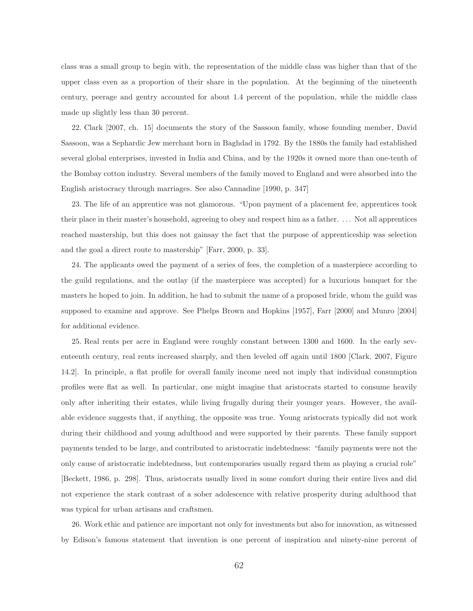class was a small group to begin with, the representation of the middle class was higher than that of the upper class even as a proportion of their share in the population. At the beginning of the nineteenth century, peerage and gentry accounted for about 1.4 percent of the population, while the middle class made up slightly less than 30 percent.

22. Clark [2007, ch. 15] documents the story of the Sassoon family, whose founding member, David Sassoon, was a Sephardic Jew merchant born in Baghdad in 1792. By the 1880s the family had established several global enterprises, invested in India and China, and by the 1920s it owned more than one-tenth of the Bombay cotton industry. Several members of the family moved to England and were absorbed into the English aristocracy through marriages. See also Cannadine [1990, p. 347]

23. The life of an apprentice was not glamorous. "Upon payment of a placement fee, apprentices took their place in their master's household, agreeing to obey and respect him as a father. . . . Not all apprentices reached mastership, but this does not gainsay the fact that the purpose of apprenticeship was selection and the goal a direct route to mastership" [Farr, 2000, p. 33].

24. The applicants owed the payment of a series of fees, the completion of a masterpiece according to the guild regulations, and the outlay (if the masterpiece was accepted) for a luxurious banquet for the masters he hoped to join. In addition, he had to submit the name of a proposed bride, whom the guild was supposed to examine and approve. See Phelps Brown and Hopkins [1957], Farr [2000] and Munro [2004] for additional evidence.

25. Real rents per acre in England were roughly constant between 1300 and 1600. In the early seventeenth century, real rents increased sharply, and then leveled off again until 1800 [Clark, 2007, Figure 14.2]. In principle, a flat profile for overall family income need not imply that individual consumption profiles were flat as well. In particular, one might imagine that aristocrats started to consume heavily only after inheriting their estates, while living frugally during their younger years. However, the available evidence suggests that, if anything, the opposite was true. Young aristocrats typically did not work during their childhood and young adulthood and were supported by their parents. These family support payments tended to be large, and contributed to aristocratic indebtedness: "family payments were not the only cause of aristocratic indebtedness, but contemporaries usually regard them as playing a crucial role" [Beckett, 1986, p. 298]. Thus, aristocrats usually lived in some comfort during their entire lives and did not experience the stark contrast of a sober adolescence with relative prosperity during adulthood that was typical for urban artisans and craftsmen.

26. Work ethic and patience are important not only for investments but also for innovation, as witnessed by Edison's famous statement that invention is one percent of inspiration and ninety-nine percent of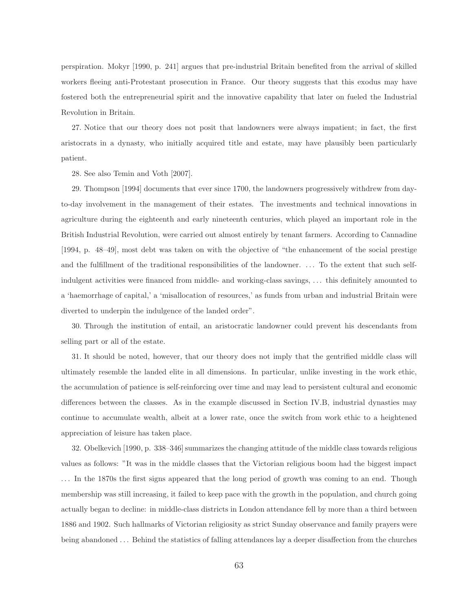perspiration. Mokyr [1990, p. 241] argues that pre-industrial Britain benefited from the arrival of skilled workers fleeing anti-Protestant prosecution in France. Our theory suggests that this exodus may have fostered both the entrepreneurial spirit and the innovative capability that later on fueled the Industrial Revolution in Britain.

27. Notice that our theory does not posit that landowners were always impatient; in fact, the first aristocrats in a dynasty, who initially acquired title and estate, may have plausibly been particularly patient.

28. See also Temin and Voth [2007].

29. Thompson [1994] documents that ever since 1700, the landowners progressively withdrew from dayto-day involvement in the management of their estates. The investments and technical innovations in agriculture during the eighteenth and early nineteenth centuries, which played an important role in the British Industrial Revolution, were carried out almost entirely by tenant farmers. According to Cannadine [1994, p. 48–49], most debt was taken on with the objective of "the enhancement of the social prestige and the fulfillment of the traditional responsibilities of the landowner. . . . To the extent that such selfindulgent activities were financed from middle- and working-class savings, . . . this definitely amounted to a 'haemorrhage of capital,' a 'misallocation of resources,' as funds from urban and industrial Britain were diverted to underpin the indulgence of the landed order".

30. Through the institution of entail, an aristocratic landowner could prevent his descendants from selling part or all of the estate.

31. It should be noted, however, that our theory does not imply that the gentrified middle class will ultimately resemble the landed elite in all dimensions. In particular, unlike investing in the work ethic, the accumulation of patience is self-reinforcing over time and may lead to persistent cultural and economic differences between the classes. As in the example discussed in Section IV.B, industrial dynasties may continue to accumulate wealth, albeit at a lower rate, once the switch from work ethic to a heightened appreciation of leisure has taken place.

32. Obelkevich [1990, p. 338–346] summarizes the changing attitude of the middle class towards religious values as follows: "It was in the middle classes that the Victorian religious boom had the biggest impact . . . In the 1870s the first signs appeared that the long period of growth was coming to an end. Though membership was still increasing, it failed to keep pace with the growth in the population, and church going actually began to decline: in middle-class districts in London attendance fell by more than a third between 1886 and 1902. Such hallmarks of Victorian religiosity as strict Sunday observance and family prayers were being abandoned . . . Behind the statistics of falling attendances lay a deeper disaffection from the churches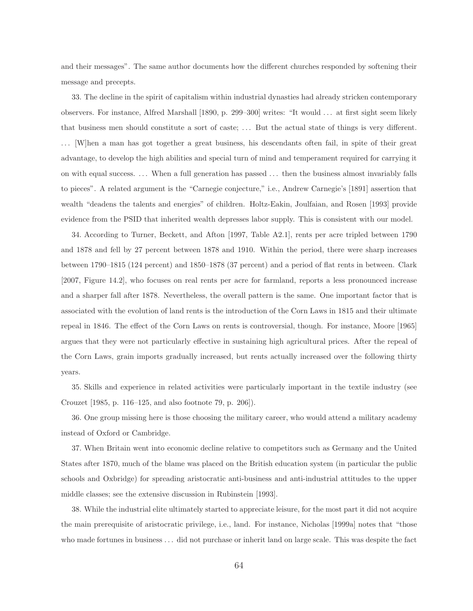and their messages". The same author documents how the different churches responded by softening their message and precepts.

33. The decline in the spirit of capitalism within industrial dynasties had already stricken contemporary observers. For instance, Alfred Marshall [1890, p. 299–300] writes: "It would . . . at first sight seem likely that business men should constitute a sort of caste; . . . But the actual state of things is very different. . . . [W]hen a man has got together a great business, his descendants often fail, in spite of their great advantage, to develop the high abilities and special turn of mind and temperament required for carrying it on with equal success. . . . When a full generation has passed . . . then the business almost invariably falls to pieces". A related argument is the "Carnegie conjecture," i.e., Andrew Carnegie's [1891] assertion that wealth "deadens the talents and energies" of children. Holtz-Eakin, Joulfaian, and Rosen [1993] provide evidence from the PSID that inherited wealth depresses labor supply. This is consistent with our model.

34. According to Turner, Beckett, and Afton [1997, Table A2.1], rents per acre tripled between 1790 and 1878 and fell by 27 percent between 1878 and 1910. Within the period, there were sharp increases between 1790–1815 (124 percent) and 1850–1878 (37 percent) and a period of flat rents in between. Clark [2007, Figure 14.2], who focuses on real rents per acre for farmland, reports a less pronounced increase and a sharper fall after 1878. Nevertheless, the overall pattern is the same. One important factor that is associated with the evolution of land rents is the introduction of the Corn Laws in 1815 and their ultimate repeal in 1846. The effect of the Corn Laws on rents is controversial, though. For instance, Moore [1965] argues that they were not particularly effective in sustaining high agricultural prices. After the repeal of the Corn Laws, grain imports gradually increased, but rents actually increased over the following thirty years.

35. Skills and experience in related activities were particularly important in the textile industry (see Crouzet [1985, p. 116–125, and also footnote 79, p. 206]).

36. One group missing here is those choosing the military career, who would attend a military academy instead of Oxford or Cambridge.

37. When Britain went into economic decline relative to competitors such as Germany and the United States after 1870, much of the blame was placed on the British education system (in particular the public schools and Oxbridge) for spreading aristocratic anti-business and anti-industrial attitudes to the upper middle classes; see the extensive discussion in Rubinstein [1993].

38. While the industrial elite ultimately started to appreciate leisure, for the most part it did not acquire the main prerequisite of aristocratic privilege, i.e., land. For instance, Nicholas [1999a] notes that "those who made fortunes in business . . . did not purchase or inherit land on large scale. This was despite the fact